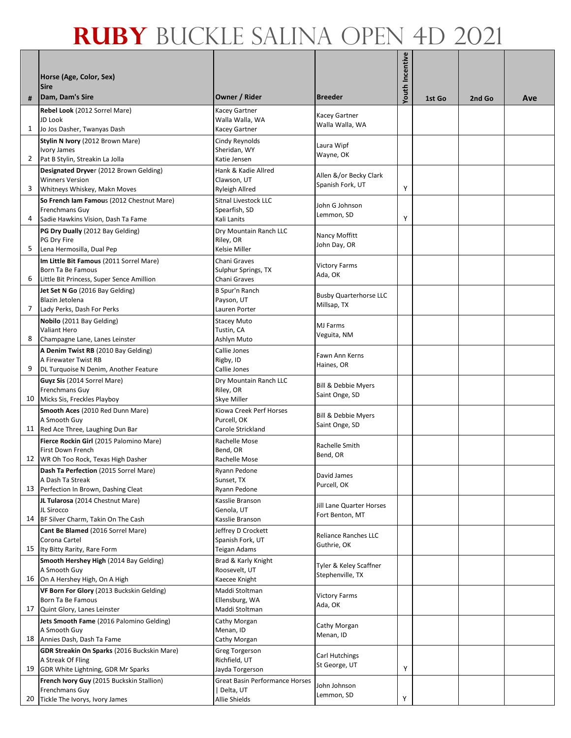| #              | Horse (Age, Color, Sex)<br><b>Sire</b><br>Dam, Dam's Sire                                                                              | Owner / Rider                                                         | <b>Breeder</b>                               | Youth Incentive | 1st Go | 2nd Go | Ave |
|----------------|----------------------------------------------------------------------------------------------------------------------------------------|-----------------------------------------------------------------------|----------------------------------------------|-----------------|--------|--------|-----|
|                | Rebel Look (2012 Sorrel Mare)<br>JD Look                                                                                               | <b>Kacey Gartner</b><br>Walla Walla, WA                               | Kacey Gartner<br>Walla Walla, WA             |                 |        |        |     |
| $\mathbf{1}$   | Jo Jos Dasher, Twanyas Dash                                                                                                            | <b>Kacey Gartner</b>                                                  |                                              |                 |        |        |     |
| $\overline{2}$ | Stylin N Ivory (2012 Brown Mare)<br>Ivory James<br>Pat B Stylin, Streakin La Jolla                                                     | Cindy Reynolds<br>Sheridan, WY<br>Katie Jensen                        | Laura Wipf<br>Wayne, OK                      |                 |        |        |     |
| 3              | Designated Dryver (2012 Brown Gelding)<br><b>Winners Version</b><br>Whitneys Whiskey, Makn Moves                                       | Hank & Kadie Allred<br>Clawson, UT<br><b>Ryleigh Allred</b>           | Allen &/or Becky Clark<br>Spanish Fork, UT   | Υ               |        |        |     |
| 4              | So French Iam Famous (2012 Chestnut Mare)<br>Frenchmans Guy<br>Sadie Hawkins Vision, Dash Ta Fame                                      | Sitnal Livestock LLC<br>Spearfish, SD<br>Kali Lanits                  | John G Johnson<br>Lemmon, SD                 | Υ               |        |        |     |
| 5              | PG Dry Dually (2012 Bay Gelding)<br>PG Dry Fire<br>Lena Hermosilla, Dual Pep                                                           | Dry Mountain Ranch LLC<br>Riley, OR<br><b>Kelsie Miller</b>           | Nancy Moffitt<br>John Day, OR                |                 |        |        |     |
| 6              | Im Little Bit Famous (2011 Sorrel Mare)<br>Born Ta Be Famous<br>Little Bit Princess, Super Sence Amillion                              | Chani Graves<br>Sulphur Springs, TX<br>Chani Graves                   | <b>Victory Farms</b><br>Ada, OK              |                 |        |        |     |
| 7              | Jet Set N Go (2016 Bay Gelding)<br>Blazin Jetolena<br>Lady Perks, Dash For Perks                                                       | B Spur'n Ranch<br>Payson, UT<br>Lauren Porter                         | <b>Busby Quarterhorse LLC</b><br>Millsap, TX |                 |        |        |     |
| 8              | Nobilo (2011 Bay Gelding)<br>Valiant Hero                                                                                              | <b>Stacey Muto</b><br>Tustin, CA                                      | MJ Farms<br>Veguita, NM                      |                 |        |        |     |
| 9              | Champagne Lane, Lanes Leinster<br>A Denim Twist RB (2010 Bay Gelding)<br>A Firewater Twist RB<br>DL Turquoise N Denim, Another Feature | Ashlyn Muto<br>Callie Jones<br>Rigby, ID<br>Callie Jones              | Fawn Ann Kerns<br>Haines, OR                 |                 |        |        |     |
| 10             | Guyz Sis (2014 Sorrel Mare)<br>Frenchmans Guy<br>Micks Sis, Freckles Playboy                                                           | Dry Mountain Ranch LLC<br>Riley, OR<br><b>Skye Miller</b>             | Bill & Debbie Myers<br>Saint Onge, SD        |                 |        |        |     |
|                | Smooth Aces (2010 Red Dunn Mare)<br>A Smooth Guy<br>11 Red Ace Three, Laughing Dun Bar                                                 | Kiowa Creek Perf Horses<br>Purcell, OK<br><b>Carole Strickland</b>    | Bill & Debbie Myers<br>Saint Onge, SD        |                 |        |        |     |
|                | Fierce Rockin Girl (2015 Palomino Mare)<br>First Down French<br>12 WR Oh Too Rock, Texas High Dasher                                   | Rachelle Mose<br>Bend, OR<br>Rachelle Mose                            | Rachelle Smith<br>Bend, OR                   |                 |        |        |     |
|                | Dash Ta Perfection (2015 Sorrel Mare)<br>A Dash Ta Streak<br>13 Perfection In Brown, Dashing Cleat                                     | Ryann Pedone<br>Sunset, TX<br>Ryann Pedone                            | David James<br>Purcell, OK                   |                 |        |        |     |
|                | JL Tularosa (2014 Chestnut Mare)<br>JL Sirocco<br>14 BF Silver Charm, Takin On The Cash                                                | Kasslie Branson<br>Genola, UT<br>Kasslie Branson                      | Jill Lane Quarter Horses<br>Fort Benton, MT  |                 |        |        |     |
|                | Cant Be Blamed (2016 Sorrel Mare)<br>Corona Cartel<br>15 Ity Bitty Rarity, Rare Form                                                   | Jeffrey D Crockett<br>Spanish Fork, UT<br>Teigan Adams                | Reliance Ranches LLC<br>Guthrie, OK          |                 |        |        |     |
|                | Smooth Hershey High (2014 Bay Gelding)<br>A Smooth Guy<br>16 On A Hershey High, On A High                                              | Brad & Karly Knight<br>Roosevelt, UT<br>Kaecee Knight                 | Tyler & Keley Scaffner<br>Stephenville, TX   |                 |        |        |     |
| 17             | VF Born For Glory (2013 Buckskin Gelding)<br>Born Ta Be Famous<br>Quint Glory, Lanes Leinster                                          | Maddi Stoltman<br>Ellensburg, WA<br>Maddi Stoltman                    | <b>Victory Farms</b><br>Ada, OK              |                 |        |        |     |
|                | Jets Smooth Fame (2016 Palomino Gelding)<br>A Smooth Guy<br>18 Annies Dash, Dash Ta Fame                                               | Cathy Morgan<br>Menan, ID<br>Cathy Morgan                             | Cathy Morgan<br>Menan, ID                    |                 |        |        |     |
|                | GDR Streakin On Sparks (2016 Buckskin Mare)<br>A Streak Of Fling<br>19 GDR White Lightning, GDR Mr Sparks                              | <b>Greg Torgerson</b><br>Richfield, UT<br>Jayda Torgerson             | Carl Hutchings<br>St George, UT              | Υ               |        |        |     |
| 20             | French Ivory Guy (2015 Buckskin Stallion)<br>Frenchmans Guy<br>Tickle The Ivorys, Ivory James                                          | <b>Great Basin Performance Horses</b><br>  Delta, UT<br>Allie Shields | John Johnson<br>Lemmon, SD                   | Υ               |        |        |     |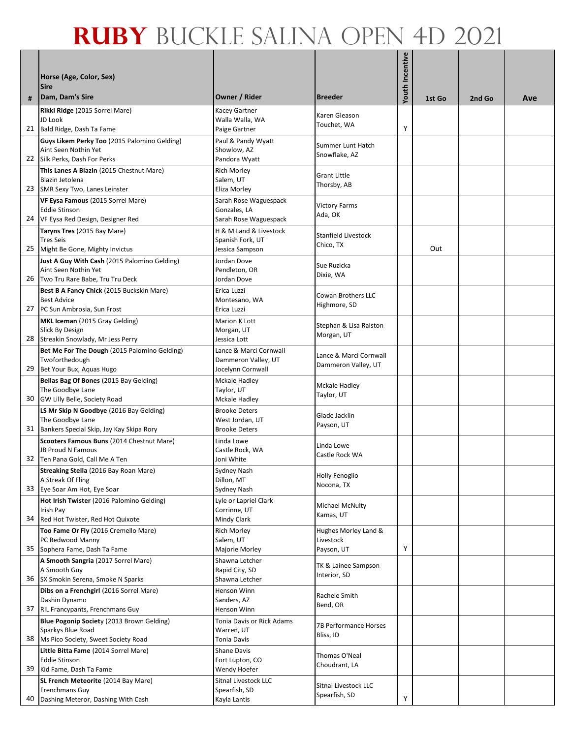| #  | Horse (Age, Color, Sex)<br><b>Sire</b><br>Dam, Dam's Sire                         | Owner / Rider                           | <b>Breeder</b>                                | <b>/outh Incentive</b> | 1st Go | 2nd Go | Ave |
|----|-----------------------------------------------------------------------------------|-----------------------------------------|-----------------------------------------------|------------------------|--------|--------|-----|
|    | Rikki Ridge (2015 Sorrel Mare)                                                    | <b>Kacey Gartner</b>                    | Karen Gleason                                 |                        |        |        |     |
|    | JD Look<br>21 Bald Ridge, Dash Ta Fame                                            | Walla Walla, WA<br>Paige Gartner        | Touchet, WA                                   | Υ                      |        |        |     |
|    | Guys Likem Perky Too (2015 Palomino Gelding)                                      | Paul & Pandy Wyatt                      |                                               |                        |        |        |     |
|    | Aint Seen Nothin Yet                                                              | Showlow, AZ                             | Summer Lunt Hatch<br>Snowflake, AZ            |                        |        |        |     |
|    | 22 Silk Perks, Dash For Perks                                                     | Pandora Wyatt                           |                                               |                        |        |        |     |
|    | This Lanes A Blazin (2015 Chestnut Mare)<br>Blazin Jetolena                       | <b>Rich Morley</b><br>Salem, UT         | <b>Grant Little</b>                           |                        |        |        |     |
|    | 23 SMR Sexy Two, Lanes Leinster                                                   | Eliza Morley                            | Thorsby, AB                                   |                        |        |        |     |
|    | VF Eysa Famous (2015 Sorrel Mare)                                                 | Sarah Rose Waguespack                   | <b>Victory Farms</b>                          |                        |        |        |     |
|    | <b>Eddie Stinson</b><br>24 VF Eysa Red Design, Designer Red                       | Gonzales, LA<br>Sarah Rose Waguespack   | Ada, OK                                       |                        |        |        |     |
|    | Taryns Tres (2015 Bay Mare)                                                       | H & M Land & Livestock                  |                                               |                        |        |        |     |
|    | <b>Tres Seis</b>                                                                  | Spanish Fork, UT                        | Stanfield Livestock<br>Chico, TX              |                        |        |        |     |
|    | 25 Might Be Gone, Mighty Invictus<br>Just A Guy With Cash (2015 Palomino Gelding) | Jessica Sampson<br>Jordan Dove          |                                               |                        | Out    |        |     |
|    | Aint Seen Nothin Yet                                                              | Pendleton, OR                           | Sue Ruzicka                                   |                        |        |        |     |
|    | 26 Two Tru Rare Babe, Tru Tru Deck                                                | Jordan Dove                             | Dixie, WA                                     |                        |        |        |     |
|    | Best B A Fancy Chick (2015 Buckskin Mare)<br><b>Best Advice</b>                   | Erica Luzzi                             | Cowan Brothers LLC                            |                        |        |        |     |
|    | 27 PC Sun Ambrosia, Sun Frost                                                     | Montesano, WA<br>Erica Luzzi            | Highmore, SD                                  |                        |        |        |     |
|    | MKL Iceman (2015 Gray Gelding)                                                    | <b>Marion K Lott</b>                    | Stephan & Lisa Ralston                        |                        |        |        |     |
|    | Slick By Design<br>28 Streakin Snowlady, Mr Jess Perry                            | Morgan, UT<br>Jessica Lott              | Morgan, UT                                    |                        |        |        |     |
|    | Bet Me For The Dough (2015 Palomino Gelding)                                      | Lance & Marci Cornwall                  |                                               |                        |        |        |     |
|    | Twoforthedough                                                                    | Dammeron Valley, UT                     | Lance & Marci Cornwall<br>Dammeron Valley, UT |                        |        |        |     |
|    | 29 Bet Your Bux, Aquas Hugo                                                       | Jocelynn Cornwall                       |                                               |                        |        |        |     |
|    | Bellas Bag Of Bones (2015 Bay Gelding)<br>The Goodbye Lane                        | Mckale Hadley<br>Taylor, UT             | <b>Mckale Hadley</b>                          |                        |        |        |     |
| 30 | GW Lilly Belle, Society Road                                                      | Mckale Hadley                           | Taylor, UT                                    |                        |        |        |     |
|    | LS Mr Skip N Goodbye (2016 Bay Gelding)                                           | <b>Brooke Deters</b>                    | Glade Jacklin                                 |                        |        |        |     |
|    | The Goodbye Lane<br>31 Bankers Special Skip, Jay Kay Skipa Rory                   | West Jordan, UT<br><b>Brooke Deters</b> | Payson, UT                                    |                        |        |        |     |
|    | Scooters Famous Buns (2014 Chestnut Mare)                                         | Linda Lowe                              |                                               |                        |        |        |     |
|    | JB Proud N Famous                                                                 | Castle Rock, WA                         | Linda Lowe<br>Castle Rock WA                  |                        |        |        |     |
|    | 32 Ten Pana Gold, Call Me A Ten<br>Streaking Stella (2016 Bay Roan Mare)          | Joni White<br>Sydney Nash               |                                               |                        |        |        |     |
|    | A Streak Of Fling                                                                 | Dillon, MT                              | Holly Fenoglio                                |                        |        |        |     |
| 33 | Eye Soar Am Hot, Eye Soar                                                         | <b>Sydney Nash</b>                      | Nocona, TX                                    |                        |        |        |     |
|    | Hot Irish Twister (2016 Palomino Gelding)<br>Irish Pay                            | Lyle or Lapriel Clark<br>Corrinne, UT   | Michael McNulty                               |                        |        |        |     |
|    | 34 Red Hot Twister, Red Hot Quixote                                               | Mindy Clark                             | Kamas, UT                                     |                        |        |        |     |
|    | Too Fame Or Fly (2016 Cremello Mare)                                              | <b>Rich Morley</b>                      | Hughes Morley Land &                          |                        |        |        |     |
|    | PC Redwood Manny<br>35 Sophera Fame, Dash Ta Fame                                 | Salem, UT<br>Majorie Morley             | Livestock<br>Payson, UT                       | Υ                      |        |        |     |
|    | A Smooth Sangria (2017 Sorrel Mare)                                               | Shawna Letcher                          |                                               |                        |        |        |     |
|    | A Smooth Guy                                                                      | Rapid City, SD                          | TK & Lainee Sampson<br>Interior, SD           |                        |        |        |     |
|    | 36 SX Smokin Serena, Smoke N Sparks<br>Dibs on a Frenchgirl (2016 Sorrel Mare)    | Shawna Letcher<br>Henson Winn           |                                               |                        |        |        |     |
|    | Dashin Dynamo                                                                     | Sanders, AZ                             | Rachele Smith                                 |                        |        |        |     |
|    | 37 RIL Francypants, Frenchmans Guy                                                | Henson Winn                             | Bend, OR                                      |                        |        |        |     |
|    | Blue Pogonip Society (2013 Brown Gelding)                                         | Tonia Davis or Rick Adams               | 7B Performance Horses                         |                        |        |        |     |
|    | Sparkys Blue Road<br>38 Ms Pico Society, Sweet Society Road                       | Warren, UT<br><b>Tonia Davis</b>        | Bliss, ID                                     |                        |        |        |     |
|    | Little Bitta Fame (2014 Sorrel Mare)                                              | <b>Shane Davis</b>                      | Thomas O'Neal                                 |                        |        |        |     |
|    | Eddie Stinson                                                                     | Fort Lupton, CO                         | Choudrant, LA                                 |                        |        |        |     |
|    | 39 Kid Fame, Dash Ta Fame<br>SL French Meteorite (2014 Bay Mare)                  | Wendy Hoefer<br>Sitnal Livestock LLC    |                                               |                        |        |        |     |
|    | Frenchmans Guy                                                                    | Spearfish, SD                           | Sitnal Livestock LLC<br>Spearfish, SD         |                        |        |        |     |
|    | 40 Dashing Meteror, Dashing With Cash                                             | Kayla Lantis                            |                                               | Υ                      |        |        |     |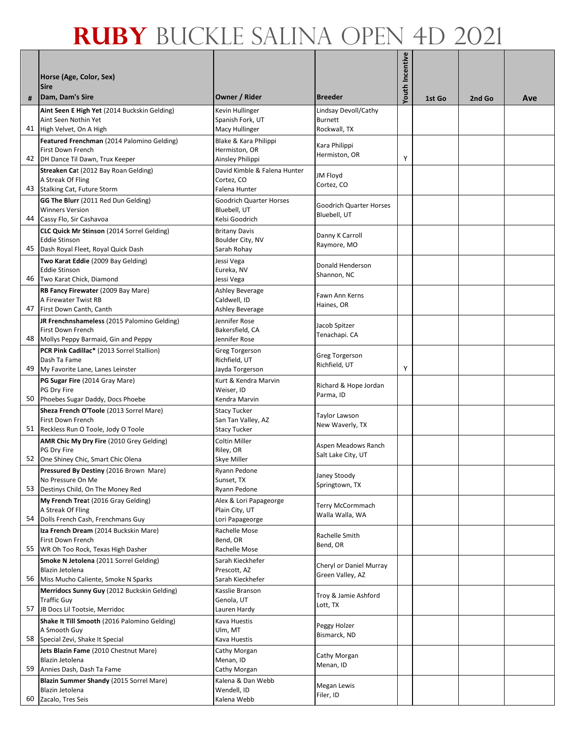|    |                                                                                |                                                  |                                           | Youth Incentive |        |        |     |
|----|--------------------------------------------------------------------------------|--------------------------------------------------|-------------------------------------------|-----------------|--------|--------|-----|
|    | Horse (Age, Color, Sex)<br><b>Sire</b>                                         |                                                  |                                           |                 |        |        |     |
| #  | Dam, Dam's Sire                                                                | Owner / Rider                                    | <b>Breeder</b>                            |                 | 1st Go | 2nd Go | Ave |
|    | Aint Seen E High Yet (2014 Buckskin Gelding)                                   | Kevin Hullinger                                  | Lindsay Devoll/Cathy                      |                 |        |        |     |
| 41 | Aint Seen Nothin Yet<br>High Velvet, On A High                                 | Spanish Fork, UT<br>Macy Hullinger               | Burnett<br>Rockwall, TX                   |                 |        |        |     |
|    | Featured Frenchman (2014 Palomino Gelding)                                     | Blake & Kara Philippi                            | Kara Philippi                             |                 |        |        |     |
| 42 | First Down French                                                              | Hermiston, OR                                    | Hermiston, OR                             | Υ               |        |        |     |
|    | DH Dance Til Dawn, Trux Keeper<br>Streaken Cat (2012 Bay Roan Gelding)         | Ainsley Philippi<br>David Kimble & Falena Hunter |                                           |                 |        |        |     |
|    | A Streak Of Fling                                                              | Cortez, CO                                       | <b>JM Floyd</b><br>Cortez, CO             |                 |        |        |     |
| 43 | <b>Stalking Cat, Future Storm</b>                                              | Falena Hunter                                    |                                           |                 |        |        |     |
|    | GG The Blurr (2011 Red Dun Gelding)<br><b>Winners Version</b>                  | <b>Goodrich Quarter Horses</b><br>Bluebell, UT   | Goodrich Quarter Horses                   |                 |        |        |     |
| 44 | Cassy Flo, Sir Cashavoa                                                        | Kelsi Goodrich                                   | Bluebell, UT                              |                 |        |        |     |
|    | <b>CLC Quick Mr Stinson</b> (2014 Sorrel Gelding)                              | <b>Britany Davis</b>                             | Danny K Carroll                           |                 |        |        |     |
| 45 | <b>Eddie Stinson</b><br>Dash Royal Fleet, Royal Quick Dash                     | Boulder City, NV<br>Sarah Rohay                  | Raymore, MO                               |                 |        |        |     |
|    | Two Karat Eddie (2009 Bay Gelding)                                             | Jessi Vega                                       | Donald Henderson                          |                 |        |        |     |
| 46 | <b>Eddie Stinson</b><br>Two Karat Chick, Diamond                               | Eureka, NV                                       | Shannon, NC                               |                 |        |        |     |
|    | RB Fancy Firewater (2009 Bay Mare)                                             | Jessi Vega<br><b>Ashley Beverage</b>             |                                           |                 |        |        |     |
|    | A Firewater Twist RB                                                           | Caldwell, ID                                     | Fawn Ann Kerns<br>Haines, OR              |                 |        |        |     |
| 47 | First Down Canth, Canth                                                        | Ashley Beverage<br>Jennifer Rose                 |                                           |                 |        |        |     |
|    | JR Frenchnshameless (2015 Palomino Gelding)<br>First Down French               | Bakersfield, CA                                  | Jacob Spitzer                             |                 |        |        |     |
| 48 | Mollys Peppy Barmaid, Gin and Peppy                                            | Jennifer Rose                                    | Tenachapi. CA                             |                 |        |        |     |
|    | PCR Pink Cadillac* (2013 Sorrel Stallion)<br>Dash Ta Fame                      | Greg Torgerson<br>Richfield, UT                  | <b>Greg Torgerson</b>                     |                 |        |        |     |
| 49 | My Favorite Lane, Lanes Leinster                                               | Jayda Torgerson                                  | Richfield, UT                             | Υ               |        |        |     |
|    | PG Sugar Fire (2014 Gray Mare)                                                 | Kurt & Kendra Marvin                             | Richard & Hope Jordan                     |                 |        |        |     |
| 50 | PG Dry Fire<br>Phoebes Sugar Daddy, Docs Phoebe                                | Weiser, ID<br>Kendra Marvin                      | Parma, ID                                 |                 |        |        |     |
|    | Sheza French O'Toole (2013 Sorrel Mare)                                        | <b>Stacy Tucker</b>                              | Taylor Lawson                             |                 |        |        |     |
| 51 | First Down French<br>Reckless Run O Toole, Jody O Toole                        | San Tan Valley, AZ<br><b>Stacy Tucker</b>        | New Waverly, TX                           |                 |        |        |     |
|    | AMR Chic My Dry Fire (2010 Grey Gelding)                                       | Coltin Miller                                    |                                           |                 |        |        |     |
|    | PG Dry Fire                                                                    | Riley, OR                                        | Aspen Meadows Ranch<br>Salt Lake City, UT |                 |        |        |     |
|    | 52 One Shiney Chic, Smart Chic Olena<br>Pressured By Destiny (2016 Brown Mare) | Skye Miller<br>Ryann Pedone                      |                                           |                 |        |        |     |
|    | No Pressure On Me                                                              | Sunset, TX                                       | Janey Stoody<br>Springtown, TX            |                 |        |        |     |
| 53 | Destinys Child, On The Money Red                                               | Ryann Pedone                                     |                                           |                 |        |        |     |
|    | My French Treat (2016 Gray Gelding)<br>A Streak Of Fling                       | Alex & Lori Papageorge<br>Plain City, UT         | Terry McCormmach                          |                 |        |        |     |
| 54 | Dolls French Cash, Frenchmans Guy                                              | Lori Papageorge                                  | Walla Walla, WA                           |                 |        |        |     |
|    | Iza French Dream (2014 Buckskin Mare)<br>First Down French                     | Rachelle Mose<br>Bend, OR                        | Rachelle Smith                            |                 |        |        |     |
| 55 | WR Oh Too Rock, Texas High Dasher                                              | Rachelle Mose                                    | Bend, OR                                  |                 |        |        |     |
|    | Smoke N Jetolena (2011 Sorrel Gelding)                                         | Sarah Kieckhefer                                 | Cheryl or Daniel Murray                   |                 |        |        |     |
| 56 | Blazin Jetolena<br>Miss Mucho Caliente, Smoke N Sparks                         | Prescott, AZ<br>Sarah Kieckhefer                 | Green Valley, AZ                          |                 |        |        |     |
|    | Merridocs Sunny Guy (2012 Buckskin Gelding)                                    | Kasslie Branson                                  | Troy & Jamie Ashford                      |                 |        |        |     |
| 57 | <b>Traffic Guy</b><br>JB Docs Lil Tootsie, Merridoc                            | Genola, UT<br>Lauren Hardy                       | Lott, TX                                  |                 |        |        |     |
|    | Shake It Till Smooth (2016 Palomino Gelding)                                   | Kava Huestis                                     |                                           |                 |        |        |     |
|    | A Smooth Guy                                                                   | Ulm, MT                                          | Peggy Holzer<br>Bismarck, ND              |                 |        |        |     |
| 58 | Special Zevi, Shake It Special<br>Jets Blazin Fame (2010 Chestnut Mare)        | Kava Huestis<br>Cathy Morgan                     |                                           |                 |        |        |     |
|    | Blazin Jetolena                                                                | Menan, ID                                        | Cathy Morgan<br>Menan, ID                 |                 |        |        |     |
| 59 | Annies Dash, Dash Ta Fame                                                      | Cathy Morgan                                     |                                           |                 |        |        |     |
|    | Blazin Summer Shandy (2015 Sorrel Mare)<br>Blazin Jetolena                     | Kalena & Dan Webb<br>Wendell, ID                 | <b>Megan Lewis</b>                        |                 |        |        |     |
| 60 | Zacalo, Tres Seis                                                              | Kalena Webb                                      | Filer, ID                                 |                 |        |        |     |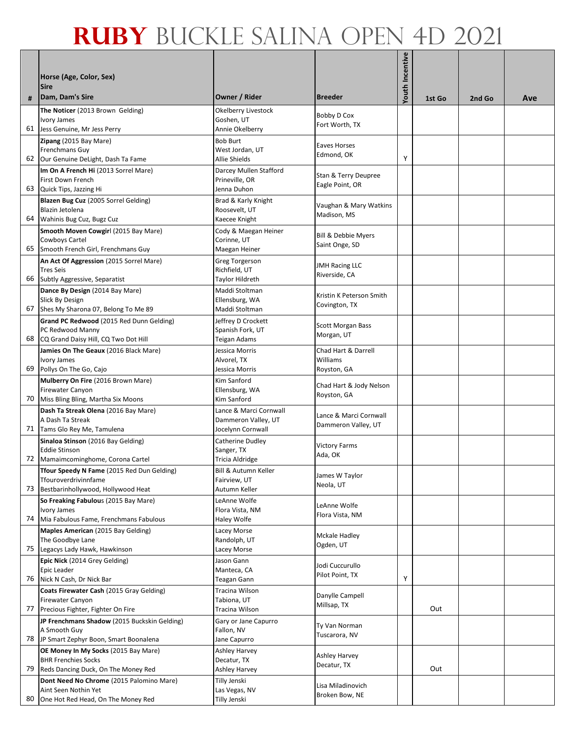|    | Horse (Age, Color, Sex)<br><b>Sire</b>                                                                          |                                                                    |                                                | Youth Incentive |        |        |     |
|----|-----------------------------------------------------------------------------------------------------------------|--------------------------------------------------------------------|------------------------------------------------|-----------------|--------|--------|-----|
| #  | Dam, Dam's Sire                                                                                                 | Owner / Rider                                                      | <b>Breeder</b>                                 |                 | 1st Go | 2nd Go | Ave |
| 61 | The Noticer (2013 Brown Gelding)<br>Ivory James<br>Jess Genuine, Mr Jess Perry                                  | Okelberry Livestock<br>Goshen, UT<br>Annie Okelberry               | Bobby D Cox<br>Fort Worth, TX                  |                 |        |        |     |
| 62 | Zipang (2015 Bay Mare)<br>Frenchmans Guy<br>Our Genuine DeLight, Dash Ta Fame                                   | <b>Bob Burt</b><br>West Jordan, UT<br>Allie Shields                | <b>Eaves Horses</b><br>Edmond, OK              | Υ               |        |        |     |
| 63 | Im On A French Hi (2013 Sorrel Mare)<br>First Down French<br>Quick Tips, Jazzing Hi                             | Darcey Mullen Stafford<br>Prineville, OR<br>Jenna Duhon            | Stan & Terry Deupree<br>Eagle Point, OR        |                 |        |        |     |
| 64 | Blazen Bug Cuz (2005 Sorrel Gelding)<br>Blazin Jetolena<br>Wahinis Bug Cuz, Bugz Cuz                            | Brad & Karly Knight<br>Roosevelt, UT<br>Kaecee Knight              | Vaughan & Mary Watkins<br>Madison, MS          |                 |        |        |     |
| 65 | Smooth Moven Cowgirl (2015 Bay Mare)<br>Cowboys Cartel<br>Smooth French Girl, Frenchmans Guy                    | Cody & Maegan Heiner<br>Corinne, UT<br>Maegan Heiner               | Bill & Debbie Myers<br>Saint Onge, SD          |                 |        |        |     |
| 66 | An Act Of Aggression (2015 Sorrel Mare)<br><b>Tres Seis</b><br>Subtly Aggressive, Separatist                    | <b>Greg Torgerson</b><br>Richfield, UT<br>Taylor Hildreth          | <b>JMH Racing LLC</b><br>Riverside, CA         |                 |        |        |     |
| 67 | Dance By Design (2014 Bay Mare)<br>Slick By Design<br>Shes My Sharona 07, Belong To Me 89                       | Maddi Stoltman<br>Ellensburg, WA<br>Maddi Stoltman                 | Kristin K Peterson Smith<br>Covington, TX      |                 |        |        |     |
| 68 | Grand PC Redwood (2015 Red Dunn Gelding)<br>PC Redwood Manny<br>CQ Grand Daisy Hill, CQ Two Dot Hill            | Jeffrey D Crockett<br>Spanish Fork, UT<br>Teigan Adams             | <b>Scott Morgan Bass</b><br>Morgan, UT         |                 |        |        |     |
| 69 | Jamies On The Geaux (2016 Black Mare)<br>Ivory James<br>Pollys On The Go, Cajo                                  | Jessica Morris<br>Alvorel, TX<br>Jessica Morris                    | Chad Hart & Darrell<br>Williams<br>Royston, GA |                 |        |        |     |
| 70 | Mulberry On Fire (2016 Brown Mare)<br>Firewater Canyon<br>Miss Bling Bling, Martha Six Moons                    | Kim Sanford<br>Ellensburg, WA<br>Kim Sanford                       | Chad Hart & Jody Nelson<br>Royston, GA         |                 |        |        |     |
| 71 | Dash Ta Streak Olena (2016 Bay Mare)<br>A Dash Ta Streak<br>Tams Glo Rey Me, Tamulena                           | Lance & Marci Cornwall<br>Dammeron Valley, UT<br>Jocelynn Cornwall | Lance & Marci Cornwall<br>Dammeron Valley, UT  |                 |        |        |     |
| 72 | Sinaloa Stinson (2016 Bay Gelding)<br><b>Eddie Stinson</b><br>Mamaimcominghome, Corona Cartel                   | Catherine Dudlev<br>Sanger, TX<br>Tricia Aldridge                  | <b>Victory Farms</b><br>Ada, OK                |                 |        |        |     |
| 73 | <b>Tfour Speedy N Fame</b> (2015 Red Dun Gelding)<br>Tfouroverdrivinnfame<br>Bestbarinhollywood, Hollywood Heat | Bill & Autumn Keller<br>Fairview, UT<br>Autumn Keller              | James W Taylor<br>Neola, UT                    |                 |        |        |     |
| 74 | So Freaking Fabulous (2015 Bay Mare)<br><b>Ivory James</b><br>Mia Fabulous Fame, Frenchmans Fabulous            | LeAnne Wolfe<br>Flora Vista, NM<br>Haley Wolfe                     | LeAnne Wolfe<br>Flora Vista, NM                |                 |        |        |     |
| 75 | Maples American (2015 Bay Gelding)<br>The Goodbye Lane<br>Legacys Lady Hawk, Hawkinson                          | Lacey Morse<br>Randolph, UT<br>Lacey Morse                         | <b>Mckale Hadley</b><br>Ogden, UT              |                 |        |        |     |
| 76 | Epic Nick (2014 Grey Gelding)<br>Epic Leader<br>Nick N Cash, Dr Nick Bar                                        | Jason Gann<br>Manteca, CA<br>Teagan Gann                           | Jodi Cuccurullo<br>Pilot Point, TX             | Υ               |        |        |     |
| 77 | Coats Firewater Cash (2015 Gray Gelding)<br>Firewater Canyon<br>Precious Fighter, Fighter On Fire               | Tracina Wilson<br>Tabiona, UT<br>Tracina Wilson                    | Danylle Campell<br>Millsap, TX                 |                 | Out    |        |     |
| 78 | JP Frenchmans Shadow (2015 Buckskin Gelding)<br>A Smooth Guy<br>JP Smart Zephyr Boon, Smart Boonalena           | Gary or Jane Capurro<br>Fallon, NV<br>Jane Capurro                 | Ty Van Norman<br>Tuscarora, NV                 |                 |        |        |     |
| 79 | OE Money In My Socks (2015 Bay Mare)<br><b>BHR Frenchies Socks</b><br>Reds Dancing Duck, On The Money Red       | Ashley Harvey<br>Decatur, TX<br>Ashley Harvey                      | <b>Ashley Harvey</b><br>Decatur, TX            |                 | Out    |        |     |
| 80 | Dont Need No Chrome (2015 Palomino Mare)<br>Aint Seen Nothin Yet<br>One Hot Red Head, On The Money Red          | Tilly Jenski<br>Las Vegas, NV<br>Tilly Jenski                      | Lisa Miladinovich<br>Broken Bow, NE            |                 |        |        |     |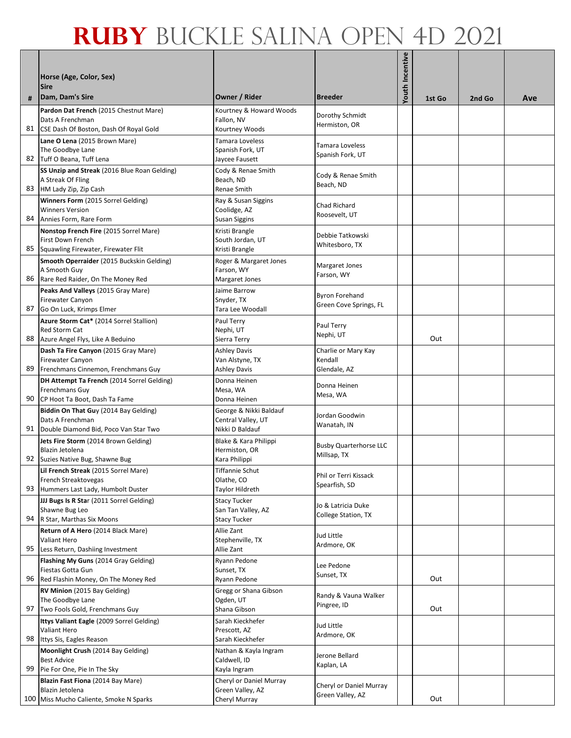| #  | Horse (Age, Color, Sex)<br><b>Sire</b><br>Dam, Dam's Sire         | Owner / Rider                         | <b>Breeder</b>                               | Youth Incentive |        | 2nd Go | Ave |
|----|-------------------------------------------------------------------|---------------------------------------|----------------------------------------------|-----------------|--------|--------|-----|
|    | Pardon Dat French (2015 Chestnut Mare)                            | Kourtney & Howard Woods               |                                              |                 | 1st Go |        |     |
|    | Dats A Frenchman                                                  | Fallon, NV                            | Dorothy Schmidt                              |                 |        |        |     |
| 81 | CSE Dash Of Boston, Dash Of Royal Gold                            | Kourtney Woods                        | Hermiston, OR                                |                 |        |        |     |
|    | Lane O Lena (2015 Brown Mare)                                     | Tamara Loveless                       | Tamara Loveless                              |                 |        |        |     |
|    | The Goodbye Lane                                                  | Spanish Fork, UT                      | Spanish Fork, UT                             |                 |        |        |     |
| 82 | Tuff O Beana, Tuff Lena                                           | Jaycee Fausett                        |                                              |                 |        |        |     |
|    | SS Unzip and Streak (2016 Blue Roan Gelding)<br>A Streak Of Fling | Cody & Renae Smith<br>Beach, ND       | Cody & Renae Smith                           |                 |        |        |     |
| 83 | HM Lady Zip, Zip Cash                                             | Renae Smith                           | Beach, ND                                    |                 |        |        |     |
|    | Winners Form (2015 Sorrel Gelding)                                | Ray & Susan Siggins                   | Chad Richard                                 |                 |        |        |     |
|    | <b>Winners Version</b>                                            | Coolidge, AZ                          | Roosevelt, UT                                |                 |        |        |     |
| 84 | Annies Form, Rare Form                                            | <b>Susan Siggins</b>                  |                                              |                 |        |        |     |
|    | Nonstop French Fire (2015 Sorrel Mare)<br>First Down French       | Kristi Brangle<br>South Jordan, UT    | Debbie Tatkowski                             |                 |        |        |     |
| 85 | Squawling Firewater, Firewater Flit                               | Kristi Brangle                        | Whitesboro, TX                               |                 |        |        |     |
|    | Smooth Operraider (2015 Buckskin Gelding)                         | Roger & Margaret Jones                | Margaret Jones                               |                 |        |        |     |
|    | A Smooth Guy                                                      | Farson, WY                            | Farson, WY                                   |                 |        |        |     |
| 86 | Rare Red Raider, On The Money Red                                 | Margaret Jones                        |                                              |                 |        |        |     |
|    | Peaks And Valleys (2015 Gray Mare)<br>Firewater Canyon            | Jaime Barrow<br>Snyder, TX            | <b>Byron Forehand</b>                        |                 |        |        |     |
| 87 | Go On Luck, Krimps Elmer                                          | Tara Lee Woodall                      | Green Cove Springs, FL                       |                 |        |        |     |
|    | Azure Storm Cat* (2014 Sorrel Stallion)                           | Paul Terry                            |                                              |                 |        |        |     |
|    | Red Storm Cat                                                     | Nephi, UT                             | Paul Terry<br>Nephi, UT                      |                 |        |        |     |
| 88 | Azure Angel Flys, Like A Beduino                                  | Sierra Terry                          |                                              |                 | Out    |        |     |
|    | Dash Ta Fire Canyon (2015 Gray Mare)                              | <b>Ashley Davis</b>                   | Charlie or Mary Kay<br>Kendall               |                 |        |        |     |
| 89 | <b>Firewater Canyon</b><br>Frenchmans Cinnemon, Frenchmans Guy    | Van Alstyne, TX<br>Ashley Davis       | Glendale, AZ                                 |                 |        |        |     |
|    | DH Attempt Ta French (2014 Sorrel Gelding)                        | Donna Heinen                          |                                              |                 |        |        |     |
|    | Frenchmans Guy                                                    | Mesa, WA                              | Donna Heinen<br>Mesa, WA                     |                 |        |        |     |
| 90 | CP Hoot Ta Boot, Dash Ta Fame                                     | Donna Heinen                          |                                              |                 |        |        |     |
|    | Biddin On That Guy (2014 Bay Gelding)                             | George & Nikki Baldauf                | Jordan Goodwin                               |                 |        |        |     |
| 91 | Dats A Frenchman<br>Double Diamond Bid, Poco Van Star Two         | Central Valley, UT<br>Nikki D Baldauf | Wanatah, IN                                  |                 |        |        |     |
|    | Jets Fire Storm (2014 Brown Gelding)                              | Blake & Kara Philippi                 |                                              |                 |        |        |     |
|    | Blazin Jetolena                                                   | Hermiston, OR                         | <b>Busby Quarterhorse LLC</b><br>Millsap, TX |                 |        |        |     |
|    | 92 Suzies Native Bug, Shawne Bug                                  | Kara Philippi                         |                                              |                 |        |        |     |
|    | Lil French Streak (2015 Sorrel Mare)<br>French Streaktovegas      | <b>Tiffannie Schut</b><br>Olathe, CO  | Phil or Terri Kissack                        |                 |        |        |     |
| 93 | Hummers Last Lady, Humbolt Duster                                 | Taylor Hildreth                       | Spearfish, SD                                |                 |        |        |     |
|    | JJJ Bugs Is R Star (2011 Sorrel Gelding)                          | <b>Stacy Tucker</b>                   |                                              |                 |        |        |     |
|    | Shawne Bug Leo                                                    | San Tan Valley, AZ                    | Jo & Latricia Duke<br>College Station, TX    |                 |        |        |     |
| 94 | R Star, Marthas Six Moons                                         | Stacy Tucker                          |                                              |                 |        |        |     |
|    | Return of A Hero (2014 Black Mare)<br>Valiant Hero                | Allie Zant<br>Stephenville, TX        | Jud Little                                   |                 |        |        |     |
| 95 | Less Return, Dashiing Investment                                  | Allie Zant                            | Ardmore, OK                                  |                 |        |        |     |
|    | Flashing My Guns (2014 Gray Gelding)                              | Ryann Pedone                          | Lee Pedone                                   |                 |        |        |     |
|    | Fiestas Gotta Gun                                                 | Sunset, TX                            | Sunset, TX                                   |                 |        |        |     |
| 96 | Red Flashin Money, On The Money Red                               | Ryann Pedone                          |                                              |                 | Out    |        |     |
|    | RV Minion (2015 Bay Gelding)<br>The Goodbye Lane                  | Gregg or Shana Gibson<br>Ogden, UT    | Randy & Vauna Walker                         |                 |        |        |     |
| 97 | Two Fools Gold, Frenchmans Guy                                    | Shana Gibson                          | Pingree, ID                                  |                 | Out    |        |     |
|    | Ittys Valiant Eagle (2009 Sorrel Gelding)                         | Sarah Kieckhefer                      | Jud Little                                   |                 |        |        |     |
|    | Valiant Hero                                                      | Prescott, AZ                          | Ardmore, OK                                  |                 |        |        |     |
| 98 | Ittys Sis, Eagles Reason                                          | Sarah Kieckhefer                      |                                              |                 |        |        |     |
|    | Moonlight Crush (2014 Bay Gelding)<br><b>Best Advice</b>          | Nathan & Kayla Ingram<br>Caldwell, ID | Jerone Bellard                               |                 |        |        |     |
| 99 | Pie For One, Pie In The Sky                                       | Kayla Ingram                          | Kaplan, LA                                   |                 |        |        |     |
|    | Blazin Fast Fiona (2014 Bay Mare)                                 | Cheryl or Daniel Murray               |                                              |                 |        |        |     |
|    | Blazin Jetolena                                                   | Green Valley, AZ                      | Cheryl or Daniel Murray<br>Green Valley, AZ  |                 |        |        |     |
|    | 100 Miss Mucho Caliente, Smoke N Sparks                           | Cheryl Murray                         |                                              |                 | Out    |        |     |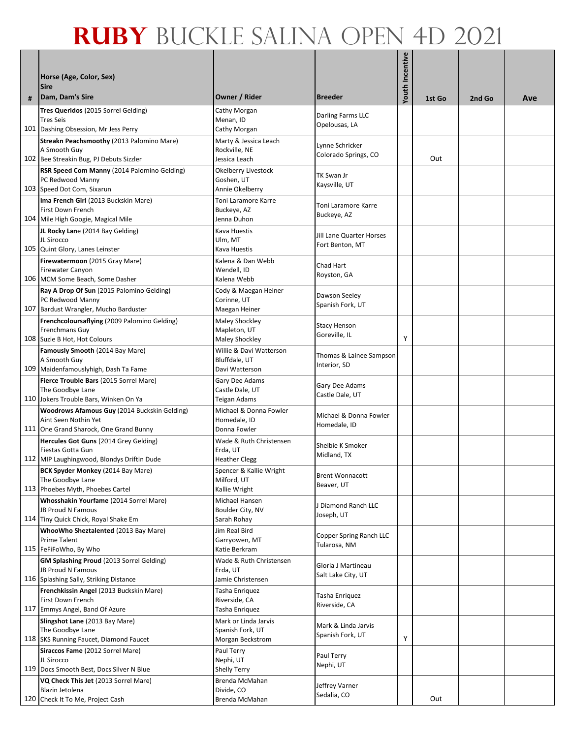|   | Horse (Age, Color, Sex)<br><b>Sire</b>                                                                         |                                                                |                                                    | Youth Incentive |        |        |     |
|---|----------------------------------------------------------------------------------------------------------------|----------------------------------------------------------------|----------------------------------------------------|-----------------|--------|--------|-----|
| # | Dam, Dam's Sire                                                                                                | Owner / Rider                                                  | <b>Breeder</b>                                     |                 | 1st Go | 2nd Go | Ave |
|   | Tres Queridos (2015 Sorrel Gelding)<br><b>Tres Seis</b><br>101 Dashing Obsession, Mr Jess Perry                | Cathy Morgan<br>Menan, ID<br>Cathy Morgan                      | Darling Farms LLC<br>Opelousas, LA                 |                 |        |        |     |
|   | Streakn Peachsmoothy (2013 Palomino Mare)<br>A Smooth Guy<br>102 Bee Streakin Bug, PJ Debuts Sizzler           | Marty & Jessica Leach<br>Rockville, NE<br>Jessica Leach        | Lynne Schricker<br>Colorado Springs, CO            |                 | Out    |        |     |
|   | RSR Speed Com Manny (2014 Palomino Gelding)<br>PC Redwood Manny<br>103 Speed Dot Com, Sixarun                  | <b>Okelberry Livestock</b><br>Goshen, UT<br>Annie Okelberry    | TK Swan Jr<br>Kaysville, UT                        |                 |        |        |     |
|   | Ima French Girl (2013 Buckskin Mare)<br>First Down French<br>104 Mile High Googie, Magical Mile                | Toni Laramore Karre<br>Buckeye, AZ<br>Jenna Duhon              | Toni Laramore Karre<br>Buckeye, AZ                 |                 |        |        |     |
|   | JL Rocky Lane (2014 Bay Gelding)<br>JL Sirocco<br>105 Quint Glory, Lanes Leinster                              | Kava Huestis<br>Ulm, MT<br>Kava Huestis                        | <b>Jill Lane Quarter Horses</b><br>Fort Benton, MT |                 |        |        |     |
|   | Firewatermoon (2015 Gray Mare)<br>Firewater Canyon<br>106 MCM Some Beach, Some Dasher                          | Kalena & Dan Webb<br>Wendell, ID<br>Kalena Webb                | Chad Hart<br>Royston, GA                           |                 |        |        |     |
|   | Ray A Drop Of Sun (2015 Palomino Gelding)<br>PC Redwood Manny<br>107 Bardust Wrangler, Mucho Barduster         | Cody & Maegan Heiner<br>Corinne, UT<br>Maegan Heiner           | Dawson Seeley<br>Spanish Fork, UT                  |                 |        |        |     |
|   | Frenchcoloursaflying (2009 Palomino Gelding)<br>Frenchmans Guy<br>108 Suzie B Hot, Hot Colours                 | <b>Maley Shockley</b><br>Mapleton, UT<br><b>Maley Shockley</b> | <b>Stacy Henson</b><br>Goreville, IL               | Υ               |        |        |     |
|   | Famously Smooth (2014 Bay Mare)<br>A Smooth Guy<br>109 Maidenfamouslyhigh, Dash Ta Fame                        | Willie & Davi Watterson<br>Bluffdale, UT<br>Davi Watterson     | Thomas & Lainee Sampson<br>Interior, SD            |                 |        |        |     |
|   | Fierce Trouble Bars (2015 Sorrel Mare)<br>The Goodbye Lane<br>110 Jokers Trouble Bars, Winken On Ya            | Gary Dee Adams<br>Castle Dale, UT<br>Teigan Adams              | Gary Dee Adams<br>Castle Dale, UT                  |                 |        |        |     |
|   | Woodrows Afamous Guy (2014 Buckskin Gelding)<br>Aint Seen Nothin Yet<br>111 One Grand Sharock, One Grand Bunny | Michael & Donna Fowler<br>Homedale, ID<br>Donna Fowler         | Michael & Donna Fowler<br>Homedale, ID             |                 |        |        |     |
|   | Hercules Got Guns (2014 Grey Gelding)<br>Fiestas Gotta Gun<br>112 MIP Laughingwood, Blondys Driftin Dude       | Wade & Ruth Christensen<br>Erda, UT<br><b>Heather Clegg</b>    | Shelbie K Smoker<br>Midland, TX                    |                 |        |        |     |
|   | <b>BCK Spyder Monkey (2014 Bay Mare)</b><br>The Goodbye Lane<br>113 Phoebes Myth, Phoebes Cartel               | Spencer & Kallie Wright<br>Milford, UT<br>Kallie Wright        | <b>Brent Wonnacott</b><br>Beaver, UT               |                 |        |        |     |
|   | Whosshakin Yourfame (2014 Sorrel Mare)<br><b>JB Proud N Famous</b><br>114 Tiny Quick Chick, Royal Shake Em     | Michael Hansen<br>Boulder City, NV<br>Sarah Rohay              | <b>Diamond Ranch LLC</b><br>Joseph, UT             |                 |        |        |     |
|   | WhooWho Sheztalented (2013 Bay Mare)<br>Prime Talent<br>115 FeFiFoWho, By Who                                  | Jim Real Bird<br>Garryowen, MT<br>Katie Berkram                | Copper Spring Ranch LLC<br>Tularosa, NM            |                 |        |        |     |
|   | GM Splashing Proud (2013 Sorrel Gelding)<br><b>JB Proud N Famous</b><br>116 Splashing Sally, Striking Distance | Wade & Ruth Christensen<br>Erda, UT<br>Jamie Christensen       | Gloria J Martineau<br>Salt Lake City, UT           |                 |        |        |     |
|   | Frenchkissin Angel (2013 Buckskin Mare)<br>First Down French<br>117 Emmys Angel, Band Of Azure                 | Tasha Enriquez<br>Riverside, CA<br>Tasha Enriquez              | Tasha Enriquez<br>Riverside, CA                    |                 |        |        |     |
|   | Slingshot Lane (2013 Bay Mare)<br>The Goodbye Lane<br>118 SKS Running Faucet, Diamond Faucet                   | Mark or Linda Jarvis<br>Spanish Fork, UT<br>Morgan Beckstrom   | Mark & Linda Jarvis<br>Spanish Fork, UT            | Υ               |        |        |     |
|   | Siraccos Fame (2012 Sorrel Mare)<br>JL Sirocco<br>119 Docs Smooth Best, Docs Silver N Blue                     | Paul Terry<br>Nephi, UT<br><b>Shelly Terry</b>                 | Paul Terry<br>Nephi, UT                            |                 |        |        |     |
|   | VQ Check This Jet (2013 Sorrel Mare)<br>Blazin Jetolena<br>120 Check It To Me, Project Cash                    | Brenda McMahan<br>Divide, CO<br>Brenda McMahan                 | Jeffrey Varner<br>Sedalia, CO                      |                 | Out    |        |     |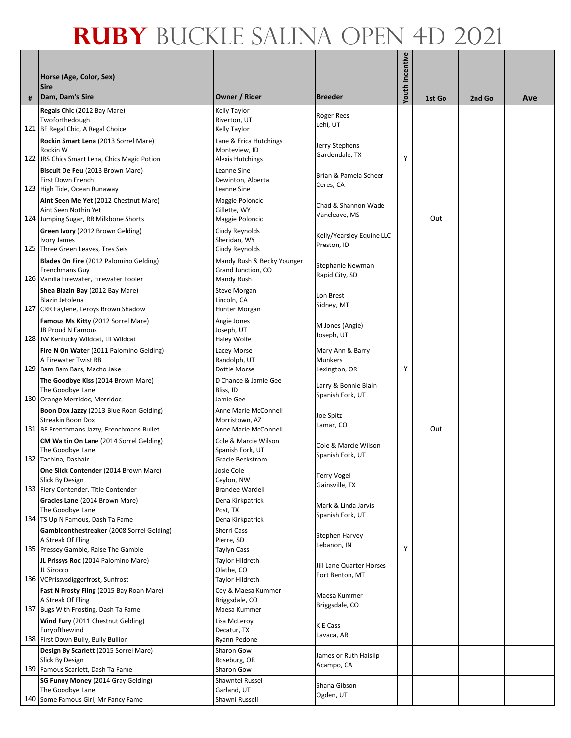|   | Horse (Age, Color, Sex)<br><b>Sire</b>                                                                     |                                                                |                                                     | Youth Incentive |        |        |     |
|---|------------------------------------------------------------------------------------------------------------|----------------------------------------------------------------|-----------------------------------------------------|-----------------|--------|--------|-----|
| # | Dam, Dam's Sire                                                                                            | Owner / Rider                                                  | <b>Breeder</b>                                      |                 | 1st Go | 2nd Go | Ave |
|   | Regals Chic (2012 Bay Mare)<br>Twoforthedough<br>121 BF Regal Chic, A Regal Choice                         | Kelly Taylor<br>Riverton, UT<br>Kelly Taylor                   | <b>Roger Rees</b><br>Lehi, UT                       |                 |        |        |     |
|   | Rockin Smart Lena (2013 Sorrel Mare)<br>Rockin W<br>122 JRS Chics Smart Lena, Chics Magic Potion           | Lane & Erica Hutchings<br>Monteview, ID<br>Alexis Hutchings    | Jerry Stephens<br>Gardendale, TX                    | Υ               |        |        |     |
|   | Biscuit De Feu (2013 Brown Mare)<br>First Down French<br>123 High Tide, Ocean Runaway                      | Leanne Sine<br>Dewinton, Alberta<br>Leanne Sine                | Brian & Pamela Scheer<br>Ceres, CA                  |                 |        |        |     |
|   | Aint Seen Me Yet (2012 Chestnut Mare)<br>Aint Seen Nothin Yet<br>124 Jumping Sugar, RR Milkbone Shorts     | Maggie Poloncic<br>Gillette, WY<br>Maggie Poloncic             | Chad & Shannon Wade<br>Vancleave, MS                |                 | Out    |        |     |
|   | Green Ivory (2012 Brown Gelding)<br>Ivory James<br>125 Three Green Leaves, Tres Seis                       | Cindy Reynolds<br>Sheridan, WY<br>Cindy Reynolds               | Kelly/Yearsley Equine LLC<br>Preston, ID            |                 |        |        |     |
|   | Blades On Fire (2012 Palomino Gelding)<br>Frenchmans Guy<br>126 Vanilla Firewater, Firewater Fooler        | Mandy Rush & Becky Younger<br>Grand Junction, CO<br>Mandy Rush | Stephanie Newman<br>Rapid City, SD                  |                 |        |        |     |
|   | Shea Blazin Bay (2012 Bay Mare)<br>Blazin Jetolena<br>127 CRR Faylene, Leroys Brown Shadow                 | <b>Steve Morgan</b><br>Lincoln, CA<br>Hunter Morgan            | Lon Brest<br>Sidney, MT                             |                 |        |        |     |
|   | Famous Ms Kitty (2012 Sorrel Mare)<br>JB Proud N Famous<br>128 JW Kentucky Wildcat, Lil Wildcat            | Angie Jones<br>Joseph, UT<br>Haley Wolfe                       | M Jones (Angie)<br>Joseph, UT                       |                 |        |        |     |
|   | Fire N On Water (2011 Palomino Gelding)<br>A Firewater Twist RB<br>129 Bam Bam Bars, Macho Jake            | Lacey Morse<br>Randolph, UT<br>Dottie Morse                    | Mary Ann & Barry<br><b>Munkers</b><br>Lexington, OR | Υ               |        |        |     |
|   | The Goodbye Kiss (2014 Brown Mare)<br>The Goodbye Lane<br>130 Orange Merridoc, Merridoc                    | D Chance & Jamie Gee<br>Bliss, ID<br>Jamie Gee                 | Larry & Bonnie Blain<br>Spanish Fork, UT            |                 |        |        |     |
|   | Boon Dox Jazzy (2013 Blue Roan Gelding)<br>Streakin Boon Dox<br>131 BF Frenchmans Jazzy, Frenchmans Bullet | Anne Marie McConnell<br>Morristown, AZ<br>Anne Marie McConnell | Joe Spitz<br>Lamar, CO                              |                 | Out    |        |     |
|   | CM Waitin On Lane (2014 Sorrel Gelding)<br>The Goodbye Lane<br>132 Tachina, Dashair                        | Cole & Marcie Wilson<br>Spanish Fork, UT<br>Gracie Beckstrom   | Cole & Marcie Wilson<br>Spanish Fork, UT            |                 |        |        |     |
|   | One Slick Contender (2014 Brown Mare)<br>Slick By Design<br>133 Fiery Contender, Title Contender           | Josie Cole<br>Ceylon, NW<br><b>Brandee Wardell</b>             | <b>Terry Vogel</b><br>Gainsville, TX                |                 |        |        |     |
|   | Gracies Lane (2014 Brown Mare)<br>The Goodbye Lane<br>134 TS Up N Famous, Dash Ta Fame                     | Dena Kirkpatrick<br>Post, TX<br>Dena Kirkpatrick               | Mark & Linda Jarvis<br>Spanish Fork, UT             |                 |        |        |     |
|   | Gambleonthestreaker (2008 Sorrel Gelding)<br>A Streak Of Fling<br>135 Pressey Gamble, Raise The Gamble     | Sherri Cass<br>Pierre, SD<br>Taylyn Cass                       | <b>Stephen Harvey</b><br>Lebanon, IN                | Υ               |        |        |     |
|   | JL Prissys Roc (2014 Palomino Mare)<br>JL Sirocco<br>136 VCPrissysdiggerfrost, Sunfrost                    | Taylor Hildreth<br>Olathe, CO<br>Taylor Hildreth               | Jill Lane Quarter Horses<br>Fort Benton, MT         |                 |        |        |     |
|   | Fast N Frosty Fling (2015 Bay Roan Mare)<br>A Streak Of Fling<br>137 Bugs With Frosting, Dash Ta Fame      | Coy & Maesa Kummer<br>Briggsdale, CO<br>Maesa Kummer           | Maesa Kummer<br>Briggsdale, CO                      |                 |        |        |     |
|   | Wind Fury (2011 Chestnut Gelding)<br>Furyofthewind<br>138 First Down Bully, Bully Bullion                  | Lisa McLeroy<br>Decatur, TX<br>Ryann Pedone                    | K E Cass<br>Lavaca, AR                              |                 |        |        |     |
|   | Design By Scarlett (2015 Sorrel Mare)<br>Slick By Design<br>139 Famous Scarlett, Dash Ta Fame              | Sharon Gow<br>Roseburg, OR<br>Sharon Gow                       | James or Ruth Haislip<br>Acampo, CA                 |                 |        |        |     |
|   | SG Funny Money (2014 Gray Gelding)<br>The Goodbye Lane<br>140 Some Famous Girl, Mr Fancy Fame              | <b>Shawntel Russel</b><br>Garland, UT<br>Shawni Russell        | Shana Gibson<br>Ogden, UT                           |                 |        |        |     |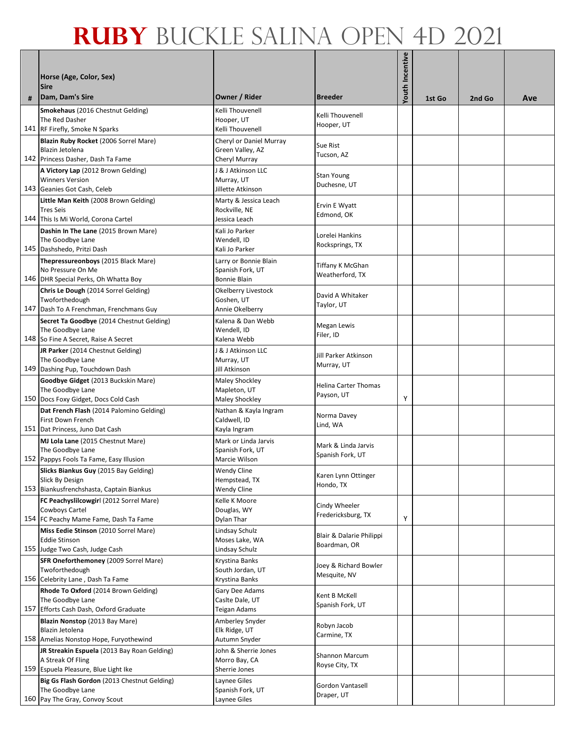|     | Horse (Age, Color, Sex)                                                             |                                             |                                    | Youth Incentive |        |        |     |
|-----|-------------------------------------------------------------------------------------|---------------------------------------------|------------------------------------|-----------------|--------|--------|-----|
|     | <b>Sire</b>                                                                         |                                             |                                    |                 |        |        |     |
| #   | Dam, Dam's Sire<br>Smokehaus (2016 Chestnut Gelding)                                | Owner / Rider<br>Kelli Thouvenell           | <b>Breeder</b>                     |                 | 1st Go | 2nd Go | Ave |
|     | The Red Dasher                                                                      | Hooper, UT                                  | Kelli Thouvenell<br>Hooper, UT     |                 |        |        |     |
|     | 141 RF Firefly, Smoke N Sparks                                                      | Kelli Thouvenell                            |                                    |                 |        |        |     |
|     | Blazin Ruby Rocket (2006 Sorrel Mare)<br>Blazin Jetolena                            | Cheryl or Daniel Murray<br>Green Valley, AZ | Sue Rist                           |                 |        |        |     |
|     | 142 Princess Dasher, Dash Ta Fame                                                   | Cheryl Murray                               | Tucson, AZ                         |                 |        |        |     |
|     | A Victory Lap (2012 Brown Gelding)                                                  | J & J Atkinson LLC                          | <b>Stan Young</b>                  |                 |        |        |     |
|     | <b>Winners Version</b><br>143 Geanies Got Cash, Celeb                               | Murray, UT<br>Jillette Atkinson             | Duchesne, UT                       |                 |        |        |     |
|     | Little Man Keith (2008 Brown Gelding)                                               | Marty & Jessica Leach                       | Ervin E Wyatt                      |                 |        |        |     |
|     | <b>Tres Seis</b>                                                                    | Rockville, NE                               | Edmond, OK                         |                 |        |        |     |
| 144 | This Is Mi World, Corona Cartel<br>Dashin In The Lane (2015 Brown Mare)             | Jessica Leach<br>Kali Jo Parker             |                                    |                 |        |        |     |
|     | The Goodbye Lane                                                                    | Wendell, ID                                 | Lorelei Hankins<br>Rocksprings, TX |                 |        |        |     |
|     | 145 Dashshedo, Pritzi Dash                                                          | Kali Jo Parker                              |                                    |                 |        |        |     |
|     | Thepressureonboys (2015 Black Mare)<br>No Pressure On Me                            | Larry or Bonnie Blain<br>Spanish Fork, UT   | Tiffany K McGhan                   |                 |        |        |     |
|     | 146 DHR Special Perks, Oh Whatta Boy                                                | Bonnie Blain                                | Weatherford, TX                    |                 |        |        |     |
|     | Chris Le Dough (2014 Sorrel Gelding)                                                | Okelberry Livestock                         | David A Whitaker                   |                 |        |        |     |
|     | Twoforthedough<br>147 Dash To A Frenchman, Frenchmans Guy                           | Goshen, UT<br>Annie Okelberry               | Taylor, UT                         |                 |        |        |     |
|     | Secret Ta Goodbye (2014 Chestnut Gelding)                                           | Kalena & Dan Webb                           |                                    |                 |        |        |     |
|     | The Goodbye Lane                                                                    | Wendell, ID                                 | <b>Megan Lewis</b><br>Filer, ID    |                 |        |        |     |
|     | 148 So Fine A Secret, Raise A Secret<br>JR Parker (2014 Chestnut Gelding)           | Kalena Webb<br>J & J Atkinson LLC           |                                    |                 |        |        |     |
|     | The Goodbye Lane                                                                    | Murray, UT                                  | Jill Parker Atkinson<br>Murray, UT |                 |        |        |     |
|     | 149 Dashing Pup, Touchdown Dash                                                     | Jill Atkinson                               |                                    |                 |        |        |     |
|     | Goodbye Gidget (2013 Buckskin Mare)<br>The Goodbye Lane                             | <b>Maley Shockley</b><br>Mapleton, UT       | <b>Helina Carter Thomas</b>        |                 |        |        |     |
|     | 150 Docs Foxy Gidget, Docs Cold Cash                                                | Maley Shockley                              | Payson, UT                         | Υ               |        |        |     |
|     | Dat French Flash (2014 Palomino Gelding)<br>First Down French                       | Nathan & Kayla Ingram                       | Norma Davey                        |                 |        |        |     |
|     | 151 Dat Princess, Juno Dat Cash                                                     | Caldwell, ID<br>Kayla Ingram                | Lind, WA                           |                 |        |        |     |
|     | MJ Lola Lane (2015 Chestnut Mare)                                                   | Mark or Linda Jarvis                        | Mark & Linda Jarvis                |                 |        |        |     |
|     | The Goodbye Lane<br>152 Pappys Fools Ta Fame, Easy Illusion                         | Spanish Fork, UT<br>Marcie Wilson           | Spanish Fork, UT                   |                 |        |        |     |
|     | Slicks Biankus Guy (2015 Bay Gelding)                                               | Wendy Cline                                 |                                    |                 |        |        |     |
|     | Slick By Design                                                                     | Hempstead, TX                               | Karen Lynn Ottinger<br>Hondo, TX   |                 |        |        |     |
|     | 153 Biankusfrenchshasta, Captain Biankus<br>FC Peachyslilcowgirl (2012 Sorrel Mare) | <b>Wendy Cline</b><br>Kelle K Moore         |                                    |                 |        |        |     |
|     | Cowboys Cartel                                                                      | Douglas, WY                                 | Cindy Wheeler                      |                 |        |        |     |
|     | 154 FC Peachy Mame Fame, Dash Ta Fame                                               | Dylan Thar                                  | Fredericksburg, TX                 | Υ               |        |        |     |
|     | Miss Eedie Stinson (2010 Sorrel Mare)<br><b>Eddie Stinson</b>                       | Lindsay Schulz<br>Moses Lake, WA            | Blair & Dalarie Philippi           |                 |        |        |     |
|     | 155 Judge Two Cash, Judge Cash                                                      | Lindsay Schulz                              | Boardman, OR                       |                 |        |        |     |
|     | SFR Oneforthemoney (2009 Sorrel Mare)                                               | Krystina Banks                              | Joey & Richard Bowler              |                 |        |        |     |
|     | Twoforthedough<br>156 Celebrity Lane, Dash Ta Fame                                  | South Jordan, UT<br>Krystina Banks          | Mesquite, NV                       |                 |        |        |     |
|     | Rhode To Oxford (2014 Brown Gelding)                                                | Gary Dee Adams                              | Kent B McKell                      |                 |        |        |     |
|     | The Goodbye Lane                                                                    | Caslte Dale, UT                             | Spanish Fork, UT                   |                 |        |        |     |
|     | 157 Efforts Cash Dash, Oxford Graduate<br>Blazin Nonstop (2013 Bay Mare)            | Teigan Adams<br>Amberley Snyder             |                                    |                 |        |        |     |
|     | Blazin Jetolena                                                                     | Elk Ridge, UT                               | Robyn Jacob<br>Carmine, TX         |                 |        |        |     |
|     | 158 Amelias Nonstop Hope, Furyothewind                                              | Autumn Snyder                               |                                    |                 |        |        |     |
|     | JR Streakin Espuela (2013 Bay Roan Gelding)<br>A Streak Of Fling                    | John & Sherrie Jones<br>Morro Bay, CA       | <b>Shannon Marcum</b>              |                 |        |        |     |
|     | 159 Espuela Pleasure, Blue Light Ike                                                | Sherrie Jones                               | Royse City, TX                     |                 |        |        |     |
|     | Big Gs Flash Gordon (2013 Chestnut Gelding)                                         | Laynee Giles                                | <b>Gordon Vantasell</b>            |                 |        |        |     |
|     | The Goodbye Lane<br>160 Pay The Gray, Convoy Scout                                  | Spanish Fork, UT<br>Laynee Giles            | Draper, UT                         |                 |        |        |     |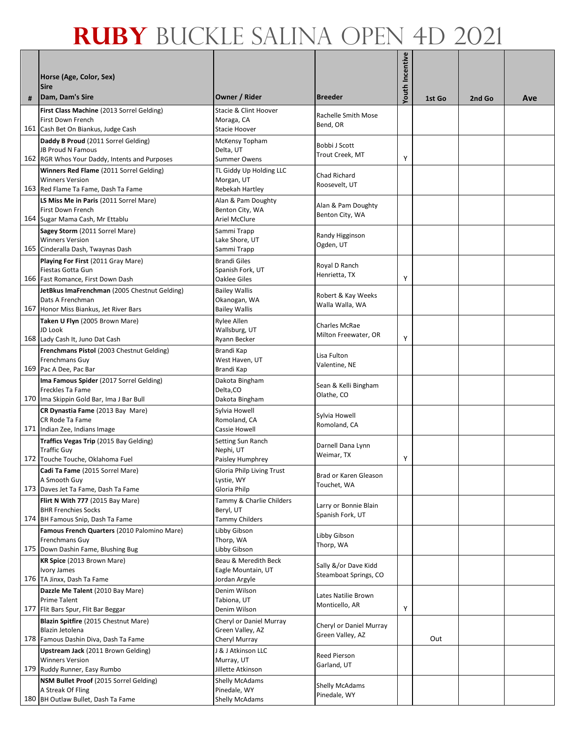|   | Horse (Age, Color, Sex)<br><b>Sire</b>                                                                     |                                                                |                                               | Youth Incentive |        |        |     |
|---|------------------------------------------------------------------------------------------------------------|----------------------------------------------------------------|-----------------------------------------------|-----------------|--------|--------|-----|
| # | Dam, Dam's Sire                                                                                            | Owner / Rider                                                  | <b>Breeder</b>                                |                 | 1st Go | 2nd Go | Ave |
|   | First Class Machine (2013 Sorrel Gelding)<br>First Down French<br>161 Cash Bet On Biankus, Judge Cash      | Stacie & Clint Hoover<br>Moraga, CA<br>Stacie Hoover           | Rachelle Smith Mose<br>Bend, OR               |                 |        |        |     |
|   | Daddy B Proud (2011 Sorrel Gelding)<br>JB Proud N Famous<br>162 RGR Whos Your Daddy, Intents and Purposes  | McKensy Topham<br>Delta, UT<br>Summer Owens                    | Bobbi J Scott<br>Trout Creek, MT              | Υ               |        |        |     |
|   | Winners Red Flame (2011 Sorrel Gelding)<br><b>Winners Version</b><br>163 Red Flame Ta Fame, Dash Ta Fame   | TL Giddy Up Holding LLC<br>Morgan, UT<br>Rebekah Hartley       | Chad Richard<br>Roosevelt, UT                 |                 |        |        |     |
|   | LS Miss Me in Paris (2011 Sorrel Mare)<br>First Down French<br>164 Sugar Mama Cash, Mr Ettablu             | Alan & Pam Doughty<br>Benton City, WA<br>Ariel McClure         | Alan & Pam Doughty<br>Benton City, WA         |                 |        |        |     |
|   | Sagey Storm (2011 Sorrel Mare)<br><b>Winners Version</b><br>165 Cinderalla Dash, Twaynas Dash              | Sammi Trapp<br>Lake Shore, UT<br>Sammi Trapp                   | Randy Higginson<br>Ogden, UT                  |                 |        |        |     |
|   | Playing For First (2011 Gray Mare)<br>Fiestas Gotta Gun<br>166 Fast Romance, First Down Dash               | <b>Brandi Giles</b><br>Spanish Fork, UT<br><b>Oaklee Giles</b> | Royal D Ranch<br>Henrietta, TX                | Υ               |        |        |     |
|   | JetBkus ImaFrenchman (2005 Chestnut Gelding)<br>Dats A Frenchman<br>167 Honor Miss Biankus, Jet River Bars | <b>Bailey Wallis</b><br>Okanogan, WA<br><b>Bailey Wallis</b>   | Robert & Kay Weeks<br>Walla Walla, WA         |                 |        |        |     |
|   | Taken U Flyn (2005 Brown Mare)<br>JD Look<br>168 Lady Cash It, Juno Dat Cash                               | Rylee Allen<br>Wallsburg, UT<br>Ryann Becker                   | Charles McRae<br>Milton Freewater, OR         | Υ               |        |        |     |
|   | Frenchmans Pistol (2003 Chestnut Gelding)<br>Frenchmans Guy<br>169 Pac A Dee, Pac Bar                      | Brandi Kap<br>West Haven, UT<br>Brandi Kap                     | Lisa Fulton<br>Valentine, NE                  |                 |        |        |     |
|   | Ima Famous Spider (2017 Sorrel Gelding)<br>Freckles Ta Fame<br>170 Ima Skippin Gold Bar, Ima J Bar Bull    | Dakota Bingham<br>Delta, CO<br>Dakota Bingham                  | Sean & Kelli Bingham<br>Olathe, CO            |                 |        |        |     |
|   | CR Dynastia Fame (2013 Bay Mare)<br>CR Rode Ta Fame<br>171 Indian Zee, Indians Image                       | Sylvia Howell<br>Romoland, CA<br>Cassie Howell                 | Sylvia Howell<br>Romoland, CA                 |                 |        |        |     |
|   | Traffics Vegas Trip (2015 Bay Gelding)<br><b>Traffic Guy</b><br>172 Touche Touche, Oklahoma Fuel           | Setting Sun Ranch<br>Nephi, UT<br>Paisley Humphrey             | Darnell Dana Lynn<br>Weimar, TX               | Υ               |        |        |     |
|   | Cadi Ta Fame (2015 Sorrel Mare)<br>A Smooth Guy<br>173 Daves Jet Ta Fame, Dash Ta Fame                     | Gloria Philp Living Trust<br>Lystie, WY<br>Gloria Philp        | Brad or Karen Gleason<br>Touchet, WA          |                 |        |        |     |
|   | Flirt N With 777 (2015 Bay Mare)<br><b>BHR Frenchies Socks</b><br>174 BH Famous Snip, Dash Ta Fame         | Tammy & Charlie Childers<br>Beryl, UT<br><b>Tammy Childers</b> | Larry or Bonnie Blain<br>Spanish Fork, UT     |                 |        |        |     |
|   | Famous French Quarters (2010 Palomino Mare)<br>Frenchmans Guy<br>175 Down Dashin Fame, Blushing Bug        | Libby Gibson<br>Thorp, WA<br>Libby Gibson                      | Libby Gibson<br>Thorp, WA                     |                 |        |        |     |
|   | KR Spice (2013 Brown Mare)<br>Ivory James<br>176 TA Jinxx, Dash Ta Fame                                    | Beau & Meredith Beck<br>Eagle Mountain, UT<br>Jordan Argyle    | Sally &/or Dave Kidd<br>Steamboat Springs, CO |                 |        |        |     |
|   | Dazzle Me Talent (2010 Bay Mare)<br>Prime Talent<br>177 Flit Bars Spur, Flit Bar Beggar                    | Denim Wilson<br>Tabiona, UT<br>Denim Wilson                    | Lates Natilie Brown<br>Monticello, AR         | Υ               |        |        |     |
|   | Blazin Spitfire (2015 Chestnut Mare)<br>Blazin Jetolena<br>178 Famous Dashin Diva, Dash Ta Fame            | Cheryl or Daniel Murray<br>Green Valley, AZ<br>Cheryl Murray   | Cheryl or Daniel Murray<br>Green Valley, AZ   |                 | Out    |        |     |
|   | Upstream Jack (2011 Brown Gelding)<br><b>Winners Version</b><br>179 Ruddy Runner, Easy Rumbo               | J & J Atkinson LLC<br>Murray, UT<br>Jillette Atkinson          | Reed Pierson<br>Garland, UT                   |                 |        |        |     |
|   | NSM Bullet Proof (2015 Sorrel Gelding)<br>A Streak Of Fling<br>180 BH Outlaw Bullet, Dash Ta Fame          | <b>Shelly McAdams</b><br>Pinedale, WY<br><b>Shelly McAdams</b> | <b>Shelly McAdams</b><br>Pinedale, WY         |                 |        |        |     |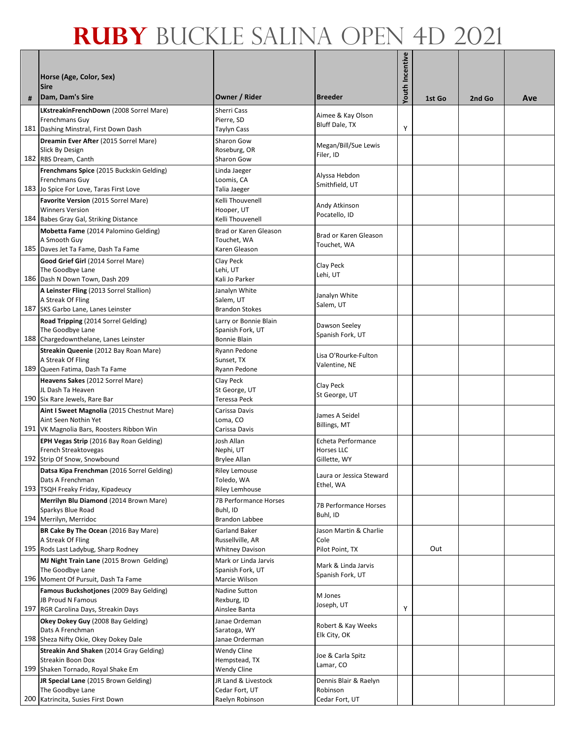| # | Horse (Age, Color, Sex)<br><b>Sire</b><br>Dam, Dam's Sire       | Owner / Rider                            | <b>Breeder</b>                        | Youth Incentive | 1st Go | 2nd Go | Ave |
|---|-----------------------------------------------------------------|------------------------------------------|---------------------------------------|-----------------|--------|--------|-----|
|   | LKstreakinFrenchDown (2008 Sorrel Mare)                         | Sherri Cass                              |                                       |                 |        |        |     |
|   | Frenchmans Guy                                                  | Pierre, SD                               | Aimee & Kay Olson<br>Bluff Dale, TX   |                 |        |        |     |
|   | 181 Dashing Minstral, First Down Dash                           | Taylyn Cass                              |                                       | Υ               |        |        |     |
|   | Dreamin Ever After (2015 Sorrel Mare)                           | <b>Sharon Gow</b>                        | Megan/Bill/Sue Lewis                  |                 |        |        |     |
|   | Slick By Design<br>182 RBS Dream, Canth                         | Roseburg, OR<br>Sharon Gow               | Filer, ID                             |                 |        |        |     |
|   | Frenchmans Spice (2015 Buckskin Gelding)                        | Linda Jaeger                             |                                       |                 |        |        |     |
|   | Frenchmans Guy                                                  | Loomis, CA                               | Alyssa Hebdon<br>Smithfield, UT       |                 |        |        |     |
|   | 183 Jo Spice For Love, Taras First Love                         | Talia Jaeger                             |                                       |                 |        |        |     |
|   | Favorite Version (2015 Sorrel Mare)                             | Kelli Thouvenell                         | Andy Atkinson                         |                 |        |        |     |
|   | <b>Winners Version</b><br>184 Babes Gray Gal, Striking Distance | Hooper, UT<br>Kelli Thouvenell           | Pocatello, ID                         |                 |        |        |     |
|   | Mobetta Fame (2014 Palomino Gelding)                            | Brad or Karen Gleason                    |                                       |                 |        |        |     |
|   | A Smooth Guy                                                    | Touchet, WA                              | Brad or Karen Gleason<br>Touchet, WA  |                 |        |        |     |
|   | 185 Daves Jet Ta Fame, Dash Ta Fame                             | Karen Gleason                            |                                       |                 |        |        |     |
|   | Good Grief Girl (2014 Sorrel Mare)                              | Clay Peck                                | Clay Peck                             |                 |        |        |     |
|   | The Goodbye Lane<br>186 Dash N Down Town, Dash 209              | Lehi, UT<br>Kali Jo Parker               | Lehi, UT                              |                 |        |        |     |
|   | A Leinster Fling (2013 Sorrel Stallion)                         | Janalyn White                            |                                       |                 |        |        |     |
|   | A Streak Of Fling                                               | Salem, UT                                | Janalyn White<br>Salem, UT            |                 |        |        |     |
|   | 187 SKS Garbo Lane, Lanes Leinster                              | <b>Brandon Stokes</b>                    |                                       |                 |        |        |     |
|   | Road Tripping (2014 Sorrel Gelding)                             | Larry or Bonnie Blain                    | Dawson Seeley                         |                 |        |        |     |
|   | The Goodbye Lane<br>188 Chargedownthelane, Lanes Leinster       | Spanish Fork, UT<br>Bonnie Blain         | Spanish Fork, UT                      |                 |        |        |     |
|   | Streakin Queenie (2012 Bay Roan Mare)                           | Ryann Pedone                             |                                       |                 |        |        |     |
|   | A Streak Of Fling                                               | Sunset, TX                               | Lisa O'Rourke-Fulton<br>Valentine, NE |                 |        |        |     |
|   | 189 Queen Fatima, Dash Ta Fame                                  | Ryann Pedone                             |                                       |                 |        |        |     |
|   | Heavens Sakes (2012 Sorrel Mare)                                | Clay Peck                                | Clay Peck                             |                 |        |        |     |
|   | JL Dash Ta Heaven<br>190 Six Rare Jewels, Rare Bar              | St George, UT<br>Teressa Peck            | St George, UT                         |                 |        |        |     |
|   | Aint I Sweet Magnolia (2015 Chestnut Mare)                      | Carissa Davis                            |                                       |                 |        |        |     |
|   | Aint Seen Nothin Yet                                            | Loma, CO                                 | James A Seidel<br>Billings, MT        |                 |        |        |     |
|   | 191 VK Magnolia Bars, Roosters Ribbon Win                       | Carissa Davis                            |                                       |                 |        |        |     |
|   | EPH Vegas Strip (2016 Bay Roan Gelding)<br>French Streaktovegas | Josh Allan<br>Nephi, UT                  | Echeta Performance<br>Horses LLC      |                 |        |        |     |
|   | 192 Strip Of Snow, Snowbound                                    | Brylee Allan                             | Gillette, WY                          |                 |        |        |     |
|   | Datsa Kipa Frenchman (2016 Sorrel Gelding)                      | <b>Riley Lemouse</b>                     |                                       |                 |        |        |     |
|   | Dats A Frenchman                                                | Toledo, WA                               | Laura or Jessica Steward<br>Ethel, WA |                 |        |        |     |
|   | 193 TSQH Freaky Friday, Kipadeucy                               | <b>Riley Lemhouse</b>                    |                                       |                 |        |        |     |
|   | Merrilyn Blu Diamond (2014 Brown Mare)<br>Sparkys Blue Road     | 7B Performance Horses<br>Buhl, ID        | 7B Performance Horses                 |                 |        |        |     |
|   | 194 Merrilyn, Merridoc                                          | <b>Brandon Labbee</b>                    | Buhl, ID                              |                 |        |        |     |
|   | BR Cake By The Ocean (2016 Bay Mare)                            | <b>Garland Baker</b>                     | Jason Martin & Charlie                |                 |        |        |     |
|   | A Streak Of Fling                                               | Russellville, AR                         | Cole                                  |                 |        |        |     |
|   | 195 Rods Last Ladybug, Sharp Rodney                             | Whitney Davison                          | Pilot Point, TX                       |                 | Out    |        |     |
|   | MJ Night Train Lane (2015 Brown Gelding)<br>The Goodbye Lane    | Mark or Linda Jarvis<br>Spanish Fork, UT | Mark & Linda Jarvis                   |                 |        |        |     |
|   | 196 Moment Of Pursuit, Dash Ta Fame                             | Marcie Wilson                            | Spanish Fork, UT                      |                 |        |        |     |
|   | Famous Buckshotjones (2009 Bay Gelding)                         | Nadine Sutton                            | M Jones                               |                 |        |        |     |
|   | JB Proud N Famous                                               | Rexburg, ID                              | Joseph, UT                            |                 |        |        |     |
|   | 197 RGR Carolina Days, Streakin Days                            | Ainslee Banta                            |                                       | Υ               |        |        |     |
|   | Okey Dokey Guy (2008 Bay Gelding)<br>Dats A Frenchman           | Janae Ordeman<br>Saratoga, WY            | Robert & Kay Weeks                    |                 |        |        |     |
|   | 198 Sheza Nifty Okie, Okey Dokey Dale                           | Janae Orderman                           | Elk City, OK                          |                 |        |        |     |
|   | Streakin And Shaken (2014 Gray Gelding)                         | <b>Wendy Cline</b>                       | Joe & Carla Spitz                     |                 |        |        |     |
|   | <b>Streakin Boon Dox</b>                                        | Hempstead, TX                            | Lamar, CO                             |                 |        |        |     |
|   | 199 Shaken Tornado, Royal Shake Em                              | Wendy Cline                              |                                       |                 |        |        |     |
|   | JR Special Lane (2015 Brown Gelding)<br>The Goodbye Lane        | JR Land & Livestock<br>Cedar Fort, UT    | Dennis Blair & Raelyn<br>Robinson     |                 |        |        |     |
|   | 200 Katrincita, Susies First Down                               | Raelyn Robinson                          | Cedar Fort, UT                        |                 |        |        |     |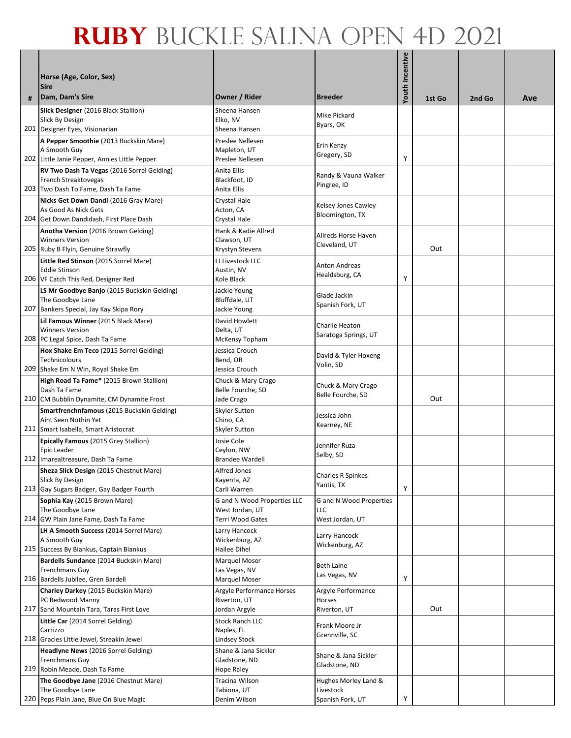| # | Horse (Age, Color, Sex)<br><b>Sire</b><br>Dam, Dam's Sire                                                                             | Owner / Rider                                                             | <b>Breeder</b>                                        | Youth Incentive | 1st Go | 2nd Go | Ave |
|---|---------------------------------------------------------------------------------------------------------------------------------------|---------------------------------------------------------------------------|-------------------------------------------------------|-----------------|--------|--------|-----|
|   |                                                                                                                                       | Sheena Hansen                                                             |                                                       |                 |        |        |     |
|   | Slick Designer (2016 Black Stallion)<br>Slick By Design<br>201 Designer Eyes, Visionarian                                             | Elko, NV<br>Sheena Hansen                                                 | Mike Pickard<br>Byars, OK                             |                 |        |        |     |
|   | A Pepper Smoothie (2013 Buckskin Mare)<br>A Smooth Guy<br>202 Little Janie Pepper, Annies Little Pepper                               | Preslee Nellesen<br>Mapleton, UT<br>Preslee Nellesen                      | Erin Kenzy<br>Gregory, SD                             | Υ               |        |        |     |
|   | RV Two Dash Ta Vegas (2016 Sorrel Gelding)<br>French Streaktovegas<br>203 Two Dash To Fame, Dash Ta Fame                              | Anita Ellis<br>Blackfoot, ID<br>Anita Ellis                               | Randy & Vauna Walker<br>Pingree, ID                   |                 |        |        |     |
|   | Nicks Get Down Dandi (2016 Gray Mare)<br>As Good As Nick Gets<br>204 Get Down Dandidash, First Place Dash                             | <b>Crystal Hale</b><br>Acton, CA<br>Crystal Hale                          | Kelsey Jones Cawley<br>Bloomington, TX                |                 |        |        |     |
|   | Anotha Version (2016 Brown Gelding)<br><b>Winners Version</b>                                                                         | Hank & Kadie Allred<br>Clawson, UT                                        | Allreds Horse Haven<br>Cleveland, UT                  |                 | Out    |        |     |
|   | 205 Ruby B Flyin, Genuine Strawfly<br>Little Red Stinson (2015 Sorrel Mare)<br><b>Eddie Stinson</b>                                   | Krystyn Stevens<br>LJ Livestock LLC<br>Austin, NV                         | <b>Anton Andreas</b><br>Healdsburg, CA                |                 |        |        |     |
|   | 206 VF Catch This Red, Designer Red<br>LS Mr Goodbye Banjo (2015 Buckskin Gelding)<br>The Goodbye Lane                                | Kole Black<br>Jackie Young<br>Bluffdale, UT                               | Glade Jackin<br>Spanish Fork, UT                      | Υ               |        |        |     |
|   | 207 Bankers Special, Jay Kay Skipa Rory<br>Lil Famous Winner (2015 Black Mare)<br><b>Winners Version</b>                              | Jackie Young<br>David Howlett<br>Delta, UT                                | Charlie Heaton                                        |                 |        |        |     |
|   | 208 PC Legal Spice, Dash Ta Fame<br>Hox Shake Em Teco (2015 Sorrel Gelding)<br>Technicolours                                          | McKensy Topham<br>Jessica Crouch<br>Bend, OR                              | Saratoga Springs, UT<br>David & Tyler Hoxeng          |                 |        |        |     |
|   | 209 Shake Em N Win, Royal Shake Em                                                                                                    | Jessica Crouch                                                            | Volin, SD                                             |                 |        |        |     |
|   | High Road Ta Fame* (2015 Brown Stallion)<br>Dash Ta Fame<br>210 CM Bubblin Dynamite, CM Dynamite Frost                                | Chuck & Mary Crago<br>Belle Fourche, SD<br>Jade Crago                     | Chuck & Mary Crago<br>Belle Fourche, SD               |                 | Out    |        |     |
|   | Smartfrenchnfamous (2015 Buckskin Gelding)<br>Aint Seen Nothin Yet<br>211 Smart Isabella, Smart Aristocrat                            | <b>Skyler Sutton</b><br>Chino, CA<br><b>Skyler Sutton</b>                 | Jessica John<br>Kearney, NE                           |                 |        |        |     |
|   | Epically Famous (2015 Grey Stallion)<br>Epic Leader<br>212 Imarealtreasure, Dash Ta Fame                                              | Josie Cole<br>Ceylon, NW<br><b>Brandee Wardell</b>                        | Jennifer Ruza<br>Selby, SD                            |                 |        |        |     |
|   | Sheza Slick Design (2015 Chestnut Mare)<br>Slick By Design<br>213 Gay Sugars Badger, Gay Badger Fourth                                | Alfred Jones<br>Kayenta, AZ<br>Carli Warren                               | Charles R Spinkes<br>Yantis, TX                       | Υ               |        |        |     |
|   | Sophia Kay (2015 Brown Mare)<br>The Goodbye Lane<br>214 GW Plain Jane Fame, Dash Ta Fame                                              | G and N Wood Properties LLC<br>West Jordan, UT<br>Terri Wood Gates        | G and N Wood Properties<br>LLC                        |                 |        |        |     |
|   | LH A Smooth Success (2014 Sorrel Mare)<br>A Smooth Guy<br>215 Success By Biankus, Captain Biankus                                     | Larry Hancock<br>Wickenburg, AZ<br>Hailee Dihel                           | West Jordan, UT<br>Larry Hancock<br>Wickenburg, AZ    |                 |        |        |     |
|   | Bardells Sundance (2014 Buckskin Mare)<br>Frenchmans Guy<br>216 Bardells Jubilee, Gren Bardell                                        | Marquel Moser<br>Las Vegas, NV                                            | Beth Laine<br>Las Vegas, NV                           | Υ               |        |        |     |
|   | Charley Darkey (2015 Buckskin Mare)<br>PC Redwood Manny                                                                               | <b>Marquel Moser</b><br>Argyle Performance Horses<br>Riverton, UT         | Argyle Performance<br>Horses                          |                 |        |        |     |
|   | 217 Sand Mountain Tara, Taras First Love<br>Little Car (2014 Sorrel Gelding)<br>Carrizzo                                              | Jordan Argyle<br><b>Stock Ranch LLC</b><br>Naples, FL                     | Riverton, UT<br>Frank Moore Jr<br>Grennville, SC      |                 | Out    |        |     |
|   | 218 Gracies Little Jewel, Streakin Jewel<br>Headlyne News (2016 Sorrel Gelding)<br>Frenchmans Guy                                     | Lindsey Stock<br>Shane & Jana Sickler<br>Gladstone, ND                    | Shane & Jana Sickler<br>Gladstone, ND                 |                 |        |        |     |
|   | 219 Robin Meade, Dash Ta Fame<br>The Goodbye Jane (2016 Chestnut Mare)<br>The Goodbye Lane<br>220 Peps Plain Jane, Blue On Blue Magic | <b>Hope Raley</b><br><b>Tracina Wilson</b><br>Tabiona, UT<br>Denim Wilson | Hughes Morley Land &<br>Livestock<br>Spanish Fork, UT | Υ               |        |        |     |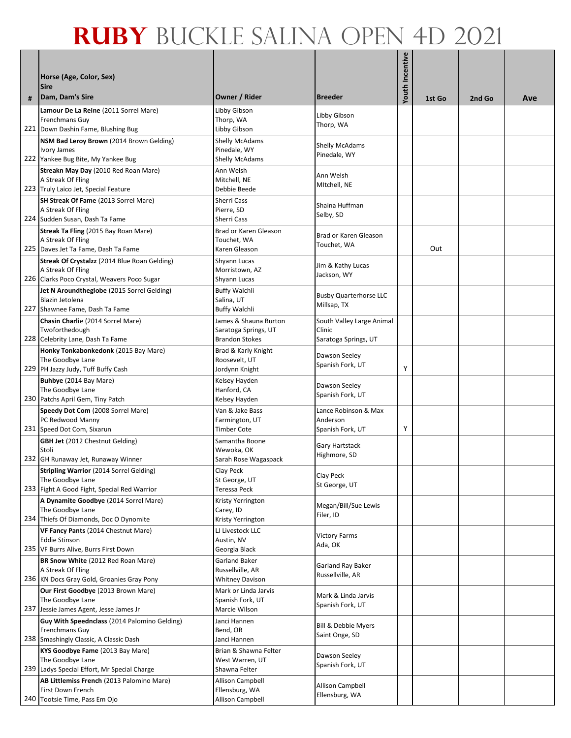| # | Horse (Age, Color, Sex)<br><b>Sire</b><br>Dam, Dam's Sire                     | Owner / Rider                                 | <b>Breeder</b>                      | Youth Incentive | 1st Go | 2nd Go | Ave |
|---|-------------------------------------------------------------------------------|-----------------------------------------------|-------------------------------------|-----------------|--------|--------|-----|
|   | Lamour De La Reine (2011 Sorrel Mare)                                         | Libby Gibson                                  |                                     |                 |        |        |     |
|   | Frenchmans Guy                                                                | Thorp, WA                                     | Libby Gibson<br>Thorp, WA           |                 |        |        |     |
|   | 221 Down Dashin Fame, Blushing Bug                                            | Libby Gibson                                  |                                     |                 |        |        |     |
|   | NSM Bad Leroy Brown (2014 Brown Gelding)<br>Ivory James                       | Shelly McAdams<br>Pinedale, WY                | <b>Shelly McAdams</b>               |                 |        |        |     |
|   | 222 Yankee Bug Bite, My Yankee Bug                                            | Shelly McAdams                                | Pinedale, WY                        |                 |        |        |     |
|   | Streakn May Day (2010 Red Roan Mare)                                          | Ann Welsh                                     |                                     |                 |        |        |     |
|   | A Streak Of Fling                                                             | Mitchell, NE                                  | Ann Welsh<br>MItchell, NE           |                 |        |        |     |
|   | 223 Truly Laico Jet, Special Feature                                          | Debbie Beede                                  |                                     |                 |        |        |     |
|   | SH Streak Of Fame (2013 Sorrel Mare)<br>A Streak Of Fling                     | <b>Sherri Cass</b><br>Pierre, SD              | Shaina Huffman                      |                 |        |        |     |
|   | 224 Sudden Susan, Dash Ta Fame                                                | Sherri Cass                                   | Selby, SD                           |                 |        |        |     |
|   | Streak Ta Fling (2015 Bay Roan Mare)                                          | Brad or Karen Gleason                         | Brad or Karen Gleason               |                 |        |        |     |
|   | A Streak Of Fling                                                             | Touchet, WA                                   | Touchet, WA                         |                 |        |        |     |
|   | 225 Daves Jet Ta Fame, Dash Ta Fame                                           | Karen Gleason                                 |                                     |                 | Out    |        |     |
|   | Streak Of Crystalzz (2014 Blue Roan Gelding)<br>A Streak Of Fling             | Shyann Lucas<br>Morristown, AZ                | Jim & Kathy Lucas                   |                 |        |        |     |
|   | 226 Clarks Poco Crystal, Weavers Poco Sugar                                   | Shyann Lucas                                  | Jackson, WY                         |                 |        |        |     |
|   | Jet N Aroundtheglobe (2015 Sorrel Gelding)                                    | <b>Buffy Walchli</b>                          | <b>Busby Quarterhorse LLC</b>       |                 |        |        |     |
|   | Blazin Jetolena                                                               | Salina, UT                                    | Millsap, TX                         |                 |        |        |     |
|   | 227 Shawnee Fame, Dash Ta Fame<br>Chasin Charlie (2014 Sorrel Mare)           | <b>Buffy Walchli</b><br>James & Shauna Burton |                                     |                 |        |        |     |
|   | Twoforthedough                                                                | Saratoga Springs, UT                          | South Valley Large Animal<br>Clinic |                 |        |        |     |
|   | 228 Celebrity Lane, Dash Ta Fame                                              | <b>Brandon Stokes</b>                         | Saratoga Springs, UT                |                 |        |        |     |
|   | Honky Tonkabonkedonk (2015 Bay Mare)                                          | Brad & Karly Knight                           | Dawson Seeley                       |                 |        |        |     |
|   | The Goodbye Lane<br>229 PH Jazzy Judy, Tuff Buffy Cash                        | Roosevelt, UT                                 | Spanish Fork, UT                    | Υ               |        |        |     |
|   | Buhbye (2014 Bay Mare)                                                        | Jordynn Knight<br>Kelsey Hayden               |                                     |                 |        |        |     |
|   | The Goodbye Lane                                                              | Hanford, CA                                   | Dawson Seeley                       |                 |        |        |     |
|   | 230 Patchs April Gem, Tiny Patch                                              | Kelsey Hayden                                 | Spanish Fork, UT                    |                 |        |        |     |
|   | Speedy Dot Com (2008 Sorrel Mare)                                             | Van & Jake Bass                               | Lance Robinson & Max                |                 |        |        |     |
|   | PC Redwood Manny<br>231 Speed Dot Com, Sixarun                                | Farmington, UT<br><b>Timber Cote</b>          | Anderson<br>Spanish Fork, UT        | Υ               |        |        |     |
|   | <b>GBH Jet</b> (2012 Chestnut Gelding)                                        | Samantha Boone                                |                                     |                 |        |        |     |
|   | Stoli                                                                         | Wewoka, OK                                    | Gary Hartstack<br>Highmore, SD      |                 |        |        |     |
|   | 232 GH Runaway Jet, Runaway Winner                                            | Sarah Rose Wagaspack                          |                                     |                 |        |        |     |
|   | <b>Stripling Warrior (2014 Sorrel Gelding)</b><br>The Goodbye Lane            | Clay Peck<br>St George, UT                    | Clay Peck                           |                 |        |        |     |
|   | 233 Fight A Good Fight, Special Red Warrior                                   | Teressa Peck                                  | St George, UT                       |                 |        |        |     |
|   | A Dynamite Goodbye (2014 Sorrel Mare)                                         | Kristy Yerrington                             | Megan/Bill/Sue Lewis                |                 |        |        |     |
|   | The Goodbye Lane                                                              | Carey, ID                                     | Filer, ID                           |                 |        |        |     |
|   | 234 Thiefs Of Diamonds, Doc O Dynomite<br>VF Fancy Pants (2014 Chestnut Mare) | Kristy Yerrington<br>LJ Livestock LLC         |                                     |                 |        |        |     |
|   | <b>Eddie Stinson</b>                                                          | Austin, NV                                    | <b>Victory Farms</b>                |                 |        |        |     |
|   | 235 VF Burrs Alive, Burrs First Down                                          | Georgia Black                                 | Ada, OK                             |                 |        |        |     |
|   | BR Snow White (2012 Red Roan Mare)                                            | Garland Baker                                 | Garland Ray Baker                   |                 |        |        |     |
|   | A Streak Of Fling<br>236 KN Docs Gray Gold, Groanies Gray Pony                | Russellville, AR<br><b>Whitney Davison</b>    | Russellville, AR                    |                 |        |        |     |
|   | Our First Goodbye (2013 Brown Mare)                                           | Mark or Linda Jarvis                          |                                     |                 |        |        |     |
|   | The Goodbye Lane                                                              | Spanish Fork, UT                              | Mark & Linda Jarvis                 |                 |        |        |     |
|   | 237 Jessie James Agent, Jesse James Jr                                        | Marcie Wilson                                 | Spanish Fork, UT                    |                 |        |        |     |
|   | Guy With Speednclass (2014 Palomino Gelding)                                  | Janci Hannen                                  | Bill & Debbie Myers                 |                 |        |        |     |
|   | Frenchmans Guy<br>238 Smashingly Classic, A Classic Dash                      | Bend, OR<br>Janci Hannen                      | Saint Onge, SD                      |                 |        |        |     |
|   | KYS Goodbye Fame (2013 Bay Mare)                                              | Brian & Shawna Felter                         |                                     |                 |        |        |     |
|   | The Goodbye Lane                                                              | West Warren, UT                               | Dawson Seeley<br>Spanish Fork, UT   |                 |        |        |     |
|   | 239 Ladys Special Effort, Mr Special Charge                                   | Shawna Felter                                 |                                     |                 |        |        |     |
|   | AB Littlemiss French (2013 Palomino Mare)<br>First Down French                | <b>Allison Campbell</b><br>Ellensburg, WA     | Allison Campbell                    |                 |        |        |     |
|   | 240 Tootsie Time, Pass Em Ojo                                                 | <b>Allison Campbell</b>                       | Ellensburg, WA                      |                 |        |        |     |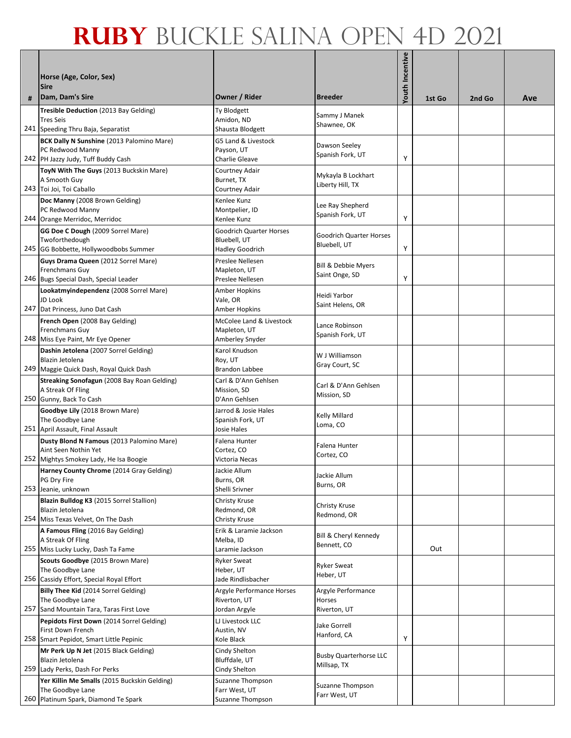|   | Horse (Age, Color, Sex)<br><b>Sire</b>                                                                      |                                                                          |                                              | Youth Incentive |        |        |     |
|---|-------------------------------------------------------------------------------------------------------------|--------------------------------------------------------------------------|----------------------------------------------|-----------------|--------|--------|-----|
| # | Dam, Dam's Sire                                                                                             | Owner / Rider                                                            | <b>Breeder</b>                               |                 | 1st Go | 2nd Go | Ave |
|   | Tresible Deduction (2013 Bay Gelding)<br><b>Tres Seis</b><br>241 Speeding Thru Baja, Separatist             | Ty Blodgett<br>Amidon, ND<br>Shausta Blodgett                            | Sammy J Manek<br>Shawnee, OK                 |                 |        |        |     |
|   | BCK Dally N Sunshine (2013 Palomino Mare)<br>PC Redwood Manny<br>242 PH Jazzy Judy, Tuff Buddy Cash         | G5 Land & Livestock<br>Payson, UT<br>Charlie Gleave                      | Dawson Seeley<br>Spanish Fork, UT            | Υ               |        |        |     |
|   | ToyN With The Guys (2013 Buckskin Mare)<br>A Smooth Guy<br>243 Toi Joi, Toi Caballo                         | Courtney Adair<br>Burnet, TX<br>Courtney Adair                           | Mykayla B Lockhart<br>Liberty Hill, TX       |                 |        |        |     |
|   | Doc Manny (2008 Brown Gelding)<br>PC Redwood Manny<br>244 Orange Merridoc, Merridoc                         | Kenlee Kunz<br>Montpelier, ID<br>Kenlee Kunz                             | Lee Ray Shepherd<br>Spanish Fork, UT         | Υ               |        |        |     |
|   | GG Doe C Dough (2009 Sorrel Mare)<br>Twoforthedough<br>245 GG Bobbette, Hollywoodbobs Summer                | <b>Goodrich Quarter Horses</b><br>Bluebell, UT<br><b>Hadley Goodrich</b> | Goodrich Quarter Horses<br>Bluebell, UT      | Υ               |        |        |     |
|   | Guys Drama Queen (2012 Sorrel Mare)<br>Frenchmans Guy<br>246 Bugs Special Dash, Special Leader              | Preslee Nellesen<br>Mapleton, UT<br>Preslee Nellesen                     | Bill & Debbie Myers<br>Saint Onge, SD        | Υ               |        |        |     |
|   | Lookatmyindependenz (2008 Sorrel Mare)<br>JD Look<br>247 Dat Princess, Juno Dat Cash                        | Amber Hopkins<br>Vale, OR<br>Amber Hopkins                               | Heidi Yarbor<br>Saint Helens, OR             |                 |        |        |     |
|   | French Open (2008 Bay Gelding)<br>Frenchmans Guy<br>248 Miss Eye Paint, Mr Eye Opener                       | McColee Land & Livestock<br>Mapleton, UT<br>Amberley Snyder              | Lance Robinson<br>Spanish Fork, UT           |                 |        |        |     |
|   | Dashin Jetolena (2007 Sorrel Gelding)<br>Blazin Jetolena<br>249 Maggie Quick Dash, Royal Quick Dash         | Karol Knudson<br>Roy, UT<br><b>Brandon Labbee</b>                        | W J Williamson<br>Gray Court, SC             |                 |        |        |     |
|   | Streaking Sonofagun (2008 Bay Roan Gelding)<br>A Streak Of Fling<br>250 Gunny, Back To Cash                 | Carl & D'Ann Gehlsen<br>Mission, SD<br>D'Ann Gehlsen                     | Carl & D'Ann Gehlsen<br>Mission, SD          |                 |        |        |     |
|   | Goodbye Lily (2018 Brown Mare)<br>The Goodbye Lane<br>251 April Assault, Final Assault                      | Jarrod & Josie Hales<br>Spanish Fork, UT<br>Josie Hales                  | Kelly Millard<br>Loma, CO                    |                 |        |        |     |
|   | Dusty Blond N Famous (2013 Palomino Mare)<br>Aint Seen Nothin Yet<br>252 Mightys Smokey Lady, He Isa Boogie | <b>Falena Hunter</b><br>Cortez, CO<br>Victoria Necas                     | Falena Hunter<br>Cortez, CO                  |                 |        |        |     |
|   | Harney County Chrome (2014 Gray Gelding)<br>PG Dry Fire<br>253 Jeanie, unknown                              | Jackie Allum<br>Burns, OR<br>Shelli Srivner                              | Jackie Allum<br>Burns, OR                    |                 |        |        |     |
|   | Blazin Bulldog K3 (2015 Sorrel Stallion)<br>Blazin Jetolena<br>254 Miss Texas Velvet, On The Dash           | Christy Kruse<br>Redmond, OR<br>Christy Kruse                            | Christy Kruse<br>Redmond, OR                 |                 |        |        |     |
|   | A Famous Fling (2016 Bay Gelding)<br>A Streak Of Fling<br>255 Miss Lucky Lucky, Dash Ta Fame                | Erik & Laramie Jackson<br>Melba, ID<br>Laramie Jackson                   | Bill & Cheryl Kennedy<br>Bennett, CO         |                 | Out    |        |     |
|   | Scouts Goodbye (2015 Brown Mare)<br>The Goodbye Lane<br>256 Cassidy Effort, Special Royal Effort            | <b>Ryker Sweat</b><br>Heber, UT<br>Jade Rindlisbacher                    | <b>Ryker Sweat</b><br>Heber, UT              |                 |        |        |     |
|   | Billy Thee Kid (2014 Sorrel Gelding)<br>The Goodbye Lane<br>257 Sand Mountain Tara, Taras First Love        | Argyle Performance Horses<br>Riverton, UT<br>Jordan Argyle               | Argyle Performance<br>Horses<br>Riverton, UT |                 |        |        |     |
|   | Pepidots First Down (2014 Sorrel Gelding)<br>First Down French<br>258 Smart Pepidot, Smart Little Pepinic   | LJ Livestock LLC<br>Austin, NV<br>Kole Black                             | Jake Gorrell<br>Hanford, CA                  | Υ               |        |        |     |
|   | Mr Perk Up N Jet (2015 Black Gelding)<br>Blazin Jetolena<br>259 Lady Perks, Dash For Perks                  | Cindy Shelton<br>Bluffdale, UT<br>Cindy Shelton                          | <b>Busby Quarterhorse LLC</b><br>Millsap, TX |                 |        |        |     |
|   | Yer Killin Me Smalls (2015 Buckskin Gelding)<br>The Goodbye Lane<br>260 Platinum Spark, Diamond Te Spark    | Suzanne Thompson<br>Farr West, UT<br>Suzanne Thompson                    | Suzanne Thompson<br>Farr West, UT            |                 |        |        |     |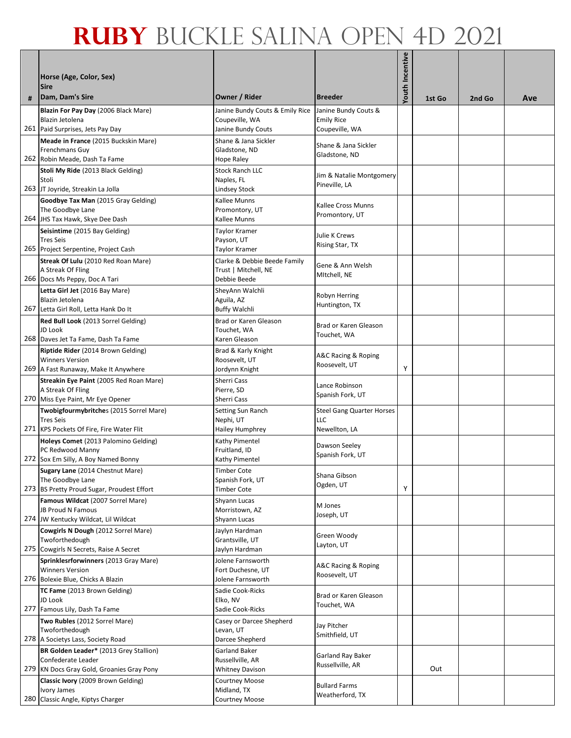|     | Horse (Age, Color, Sex)                                                        |                                                   |                                                | Youth Incentive |        |        |     |
|-----|--------------------------------------------------------------------------------|---------------------------------------------------|------------------------------------------------|-----------------|--------|--------|-----|
| #   | <b>Sire</b><br>Dam, Dam's Sire                                                 | Owner / Rider                                     | <b>Breeder</b>                                 |                 | 1st Go | 2nd Go | Ave |
|     | Blazin For Pay Day (2006 Black Mare)<br>Blazin Jetolena                        | Janine Bundy Couts & Emily Rice<br>Coupeville, WA | Janine Bundy Couts &<br><b>Emily Rice</b>      |                 |        |        |     |
|     | 261 Paid Surprises, Jets Pay Day                                               | Janine Bundy Couts                                | Coupeville, WA                                 |                 |        |        |     |
|     | Meade in France (2015 Buckskin Mare)                                           | Shane & Jana Sickler                              | Shane & Jana Sickler                           |                 |        |        |     |
|     | Frenchmans Guy<br>262 Robin Meade, Dash Ta Fame                                | Gladstone, ND<br>Hope Raley                       | Gladstone, ND                                  |                 |        |        |     |
|     | Stoli My Ride (2013 Black Gelding)                                             | <b>Stock Ranch LLC</b>                            |                                                |                 |        |        |     |
|     | Stoli                                                                          | Naples, FL                                        | Jim & Natalie Montgomery<br>Pineville, LA      |                 |        |        |     |
|     | 263 JT Joyride, Streakin La Jolla                                              | Lindsey Stock                                     |                                                |                 |        |        |     |
|     | Goodbye Tax Man (2015 Gray Gelding)<br>The Goodbye Lane                        | Kallee Munns<br>Promontory, UT                    | Kallee Cross Munns                             |                 |        |        |     |
|     | 264 JHS Tax Hawk, Skye Dee Dash                                                | Kallee Munns                                      | Promontory, UT                                 |                 |        |        |     |
|     | Seisintime (2015 Bay Gelding)                                                  | Taylor Kramer                                     | Julie K Crews                                  |                 |        |        |     |
|     | <b>Tres Seis</b>                                                               | Payson, UT                                        | Rising Star, TX                                |                 |        |        |     |
|     | 265 Project Serpentine, Project Cash<br>Streak Of Lulu (2010 Red Roan Mare)    | Taylor Kramer<br>Clarke & Debbie Beede Family     |                                                |                 |        |        |     |
|     | A Streak Of Fling                                                              | Trust   Mitchell, NE                              | Gene & Ann Welsh                               |                 |        |        |     |
|     | 266 Docs Ms Peppy, Doc A Tari                                                  | Debbie Beede                                      | Mitchell, NE                                   |                 |        |        |     |
|     | Letta Girl Jet (2016 Bay Mare)                                                 | SheyAnn Walchli                                   | Robyn Herring                                  |                 |        |        |     |
| 267 | Blazin Jetolena<br>Letta Girl Roll, Letta Hank Do It                           | Aguila, AZ<br><b>Buffy Walchli</b>                | Huntington, TX                                 |                 |        |        |     |
|     | Red Bull Look (2013 Sorrel Gelding)                                            | Brad or Karen Gleason                             |                                                |                 |        |        |     |
|     | JD Look                                                                        | Touchet, WA                                       | Brad or Karen Gleason                          |                 |        |        |     |
|     | 268 Daves Jet Ta Fame, Dash Ta Fame                                            | Karen Gleason                                     | Touchet, WA                                    |                 |        |        |     |
|     | Riptide Rider (2014 Brown Gelding)                                             | Brad & Karly Knight                               | A&C Racing & Roping                            |                 |        |        |     |
|     | <b>Winners Version</b><br>269 A Fast Runaway, Make It Anywhere                 | Roosevelt, UT<br>Jordynn Knight                   | Roosevelt, UT                                  | Υ               |        |        |     |
|     | Streakin Eye Paint (2005 Red Roan Mare)                                        | Sherri Cass                                       |                                                |                 |        |        |     |
|     | A Streak Of Fling                                                              | Pierre, SD                                        | Lance Robinson<br>Spanish Fork, UT             |                 |        |        |     |
|     | 270 Miss Eye Paint, Mr Eye Opener                                              | Sherri Cass                                       |                                                |                 |        |        |     |
|     | Twobigfourmybritches (2015 Sorrel Mare)<br><b>Tres Seis</b>                    | Setting Sun Ranch<br>Nephi, UT                    | <b>Steel Gang Quarter Horses</b><br><b>LLC</b> |                 |        |        |     |
|     | 271 KPS Pockets Of Fire, Fire Water Flit                                       | <b>Hailey Humphrey</b>                            | Newellton, LA                                  |                 |        |        |     |
|     | Holeys Comet (2013 Palomino Gelding)                                           | Kathy Pimentel                                    | Dawson Seeley                                  |                 |        |        |     |
|     | PC Redwood Manny                                                               | Fruitland, ID                                     | Spanish Fork, UT                               |                 |        |        |     |
|     | 272 Sox Em Silly, A Boy Named Bonny<br><b>Sugary Lane</b> (2014 Chestnut Mare) | Kathy Pimentel<br><b>Timber Cote</b>              |                                                |                 |        |        |     |
|     | The Goodbye Lane                                                               | Spanish Fork, UT                                  | Shana Gibson                                   |                 |        |        |     |
|     | 273 BS Pretty Proud Sugar, Proudest Effort                                     | Timber Cote                                       | Ogden, UT                                      | Υ               |        |        |     |
|     | Famous Wildcat (2007 Sorrel Mare)                                              | Shyann Lucas                                      | M Jones                                        |                 |        |        |     |
|     | JB Proud N Famous<br>274 JW Kentucky Wildcat, Lil Wildcat                      | Morristown, AZ<br>Shyann Lucas                    | Joseph, UT                                     |                 |        |        |     |
|     | Cowgirls N Dough (2012 Sorrel Mare)                                            | Jaylyn Hardman                                    |                                                |                 |        |        |     |
|     | Twoforthedough                                                                 | Grantsville, UT                                   | Green Woody<br>Layton, UT                      |                 |        |        |     |
|     | 275 Cowgirls N Secrets, Raise A Secret                                         | Jaylyn Hardman                                    |                                                |                 |        |        |     |
|     | Sprinklesrforwinners (2013 Gray Mare)<br><b>Winners Version</b>                | Jolene Farnsworth<br>Fort Duchesne, UT            | A&C Racing & Roping                            |                 |        |        |     |
|     | 276 Bolexie Blue, Chicks A Blazin                                              | Jolene Farnsworth                                 | Roosevelt, UT                                  |                 |        |        |     |
|     | TC Fame (2013 Brown Gelding)                                                   | Sadie Cook-Ricks                                  | Brad or Karen Gleason                          |                 |        |        |     |
|     | JD Look                                                                        | Elko, NV                                          | Touchet, WA                                    |                 |        |        |     |
|     | 277 Famous Lily, Dash Ta Fame<br>Two Rubles (2012 Sorrel Mare)                 | Sadie Cook-Ricks                                  |                                                |                 |        |        |     |
|     | Twoforthedough                                                                 | Casey or Darcee Shepherd<br>Levan, UT             | Jay Pitcher                                    |                 |        |        |     |
|     | 278 A Societys Lass, Society Road                                              | Darcee Shepherd                                   | Smithfield, UT                                 |                 |        |        |     |
|     | BR Golden Leader* (2013 Grey Stallion)                                         | Garland Baker                                     | Garland Ray Baker                              |                 |        |        |     |
|     | Confederate Leader<br>279 KN Docs Gray Gold, Groanies Gray Pony                | Russellville, AR<br><b>Whitney Davison</b>        | Russellville, AR                               |                 | Out    |        |     |
|     | Classic Ivory (2009 Brown Gelding)                                             | <b>Courtney Moose</b>                             |                                                |                 |        |        |     |
|     | Ivory James                                                                    | Midland, TX                                       | <b>Bullard Farms</b><br>Weatherford, TX        |                 |        |        |     |
|     | 280 Classic Angle, Kiptys Charger                                              | Courtney Moose                                    |                                                |                 |        |        |     |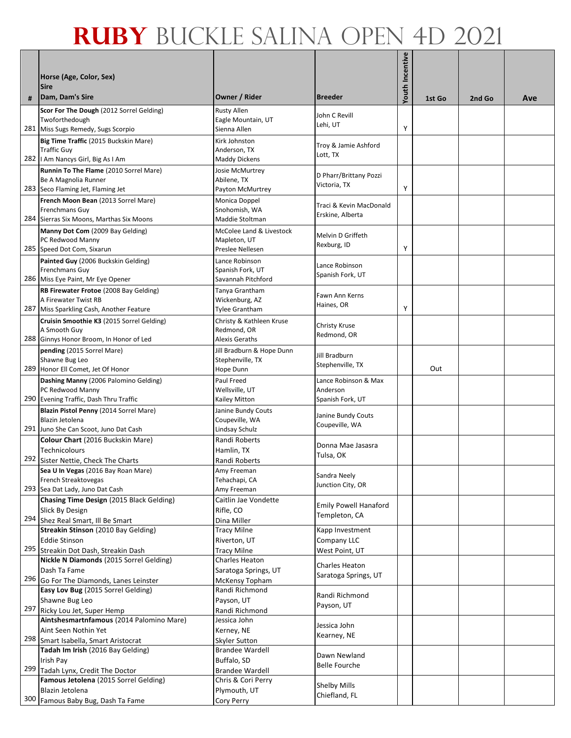|     |                                                                            |                                              |                                      | Youth Incentive |        |        |     |
|-----|----------------------------------------------------------------------------|----------------------------------------------|--------------------------------------|-----------------|--------|--------|-----|
|     | Horse (Age, Color, Sex)                                                    |                                              |                                      |                 |        |        |     |
|     | <b>Sire</b><br>Dam, Dam's Sire                                             | Owner / Rider                                | <b>Breeder</b>                       |                 | 1st Go | 2nd Go | Ave |
|     | Scor For The Dough (2012 Sorrel Gelding)                                   | <b>Rusty Allen</b>                           | John C Revill                        |                 |        |        |     |
|     | Twoforthedough                                                             | Eagle Mountain, UT                           | Lehi, UT                             |                 |        |        |     |
|     | 281 Miss Sugs Remedy, Sugs Scorpio                                         | Sienna Allen                                 |                                      | Υ               |        |        |     |
|     | Big Time Traffic (2015 Buckskin Mare)<br><b>Traffic Guy</b>                | Kirk Johnston<br>Anderson, TX                | Troy & Jamie Ashford                 |                 |        |        |     |
|     | 282   Am Nancys Girl, Big As I Am                                          | <b>Maddy Dickens</b>                         | Lott, TX                             |                 |        |        |     |
|     | Runnin To The Flame (2010 Sorrel Mare)                                     | Josie McMurtrey                              | D Pharr/Brittany Pozzi               |                 |        |        |     |
|     | Be A Magnolia Runner                                                       | Abilene, TX                                  | Victoria, TX                         |                 |        |        |     |
|     | 283 Seco Flaming Jet, Flaming Jet                                          | Payton McMurtrey                             |                                      | Υ               |        |        |     |
|     | French Moon Bean (2013 Sorrel Mare)<br>Frenchmans Guy                      | Monica Doppel<br>Snohomish, WA               | Traci & Kevin MacDonald              |                 |        |        |     |
|     | 284 Sierras Six Moons, Marthas Six Moons                                   | Maddie Stoltman                              | Erskine, Alberta                     |                 |        |        |     |
|     | Manny Dot Com (2009 Bay Gelding)                                           | McColee Land & Livestock                     | Melvin D Griffeth                    |                 |        |        |     |
|     | PC Redwood Manny                                                           | Mapleton, UT                                 | Rexburg, ID                          |                 |        |        |     |
|     | 285 Speed Dot Com, Sixarun                                                 | Preslee Nellesen                             |                                      | Υ               |        |        |     |
|     | Painted Guy (2006 Buckskin Gelding)<br><b>Frenchmans Guy</b>               | Lance Robinson<br>Spanish Fork, UT           | Lance Robinson                       |                 |        |        |     |
|     | 286 Miss Eye Paint, Mr Eye Opener                                          | Savannah Pitchford                           | Spanish Fork, UT                     |                 |        |        |     |
|     | RB Firewater Frotoe (2008 Bay Gelding)                                     | Tanya Grantham                               |                                      |                 |        |        |     |
|     | A Firewater Twist RB                                                       | Wickenburg, AZ                               | Fawn Ann Kerns<br>Haines, OR         |                 |        |        |     |
|     | 287 Miss Sparkling Cash, Another Feature                                   | <b>Tylee Grantham</b>                        |                                      | Υ               |        |        |     |
|     | Cruisin Smoothie K3 (2015 Sorrel Gelding)<br>A Smooth Guy                  | Christy & Kathleen Kruse<br>Redmond, OR      | Christy Kruse                        |                 |        |        |     |
|     | 288 Ginnys Honor Broom, In Honor of Led                                    | Alexis Geraths                               | Redmond, OR                          |                 |        |        |     |
|     | pending (2015 Sorrel Mare)                                                 | Jill Bradburn & Hope Dunn                    |                                      |                 |        |        |     |
|     | Shawne Bug Leo                                                             | Stephenville, TX                             | Jill Bradburn<br>Stephenville, TX    |                 |        |        |     |
|     | 289 Honor Ell Comet, Jet Of Honor                                          | Hope Dunn                                    |                                      |                 | Out    |        |     |
|     | Dashing Manny (2006 Palomino Gelding)<br>PC Redwood Manny                  | Paul Freed<br>Wellsville, UT                 | Lance Robinson & Max<br>Anderson     |                 |        |        |     |
|     | 290 Evening Traffic, Dash Thru Traffic                                     | Kailey Mitton                                | Spanish Fork, UT                     |                 |        |        |     |
|     | Blazin Pistol Penny (2014 Sorrel Mare)                                     | Janine Bundy Couts                           |                                      |                 |        |        |     |
|     | Blazin Jetolena                                                            | Coupeville, WA                               | Janine Bundy Couts<br>Coupeville, WA |                 |        |        |     |
|     | 291 Juno She Can Scoot, Juno Dat Cash                                      | Lindsay Schulz                               |                                      |                 |        |        |     |
|     | Colour Chart (2016 Buckskin Mare)<br>Technicolours                         | Randi Roberts<br>Hamlin, TX                  | Donna Mae Jasasra                    |                 |        |        |     |
| 292 | Sister Nettie, Check The Charts                                            | Randi Roberts                                | Tulsa, OK                            |                 |        |        |     |
|     | Sea U In Vegas (2016 Bay Roan Mare)                                        | Amy Freeman                                  | Sandra Neely                         |                 |        |        |     |
|     | French Streaktovegas                                                       | Tehachapi, CA                                | Junction City, OR                    |                 |        |        |     |
|     | 293 Sea Dat Lady, Juno Dat Cash                                            | Amy Freeman                                  |                                      |                 |        |        |     |
|     | Chasing Time Design (2015 Black Gelding)<br>Slick By Design                | Caitlin Jae Vondette<br>Rifle, CO            | <b>Emily Powell Hanaford</b>         |                 |        |        |     |
|     | 294 Shez Real Smart, Ill Be Smart                                          | Dina Miller                                  | Templeton, CA                        |                 |        |        |     |
|     | Streakin Stinson (2010 Bay Gelding)                                        | <b>Tracy Milne</b>                           | Kapp Investment                      |                 |        |        |     |
|     | <b>Eddie Stinson</b>                                                       | Riverton, UT                                 | Company LLC                          |                 |        |        |     |
|     | 295 Streakin Dot Dash, Streakin Dash                                       | <b>Tracy Milne</b>                           | West Point, UT                       |                 |        |        |     |
|     | Nickle N Diamonds (2015 Sorrel Gelding)<br>Dash Ta Fame                    | Charles Heaton<br>Saratoga Springs, UT       | <b>Charles Heaton</b>                |                 |        |        |     |
| 296 | Go For The Diamonds, Lanes Leinster                                        | McKensy Topham                               | Saratoga Springs, UT                 |                 |        |        |     |
|     | Easy Lov Bug (2015 Sorrel Gelding)                                         | Randi Richmond                               | Randi Richmond                       |                 |        |        |     |
|     | Shawne Bug Leo                                                             | Payson, UT                                   | Payson, UT                           |                 |        |        |     |
|     | 297 Ricky Lou Jet, Super Hemp                                              | Randi Richmond                               |                                      |                 |        |        |     |
|     | Aintshesmartnfamous (2014 Palomino Mare)<br>Aint Seen Nothin Yet           | Jessica John<br>Kerney, NE                   | Jessica John                         |                 |        |        |     |
|     | 298 Smart Isabella, Smart Aristocrat                                       | Skyler Sutton                                | Kearney, NE                          |                 |        |        |     |
|     | Tadah Im Irish (2016 Bay Gelding)                                          | <b>Brandee Wardell</b>                       | Dawn Newland                         |                 |        |        |     |
|     | Irish Pay                                                                  | Buffalo, SD                                  | <b>Belle Fourche</b>                 |                 |        |        |     |
|     | 299 Tadah Lynx, Credit The Doctor<br>Famous Jetolena (2015 Sorrel Gelding) | <b>Brandee Wardell</b><br>Chris & Cori Perry |                                      |                 |        |        |     |
|     | Blazin Jetolena                                                            | Plymouth, UT                                 | Shelby Mills                         |                 |        |        |     |
| 300 | Famous Baby Bug, Dash Ta Fame                                              | Cory Perry                                   | Chiefland, FL                        |                 |        |        |     |